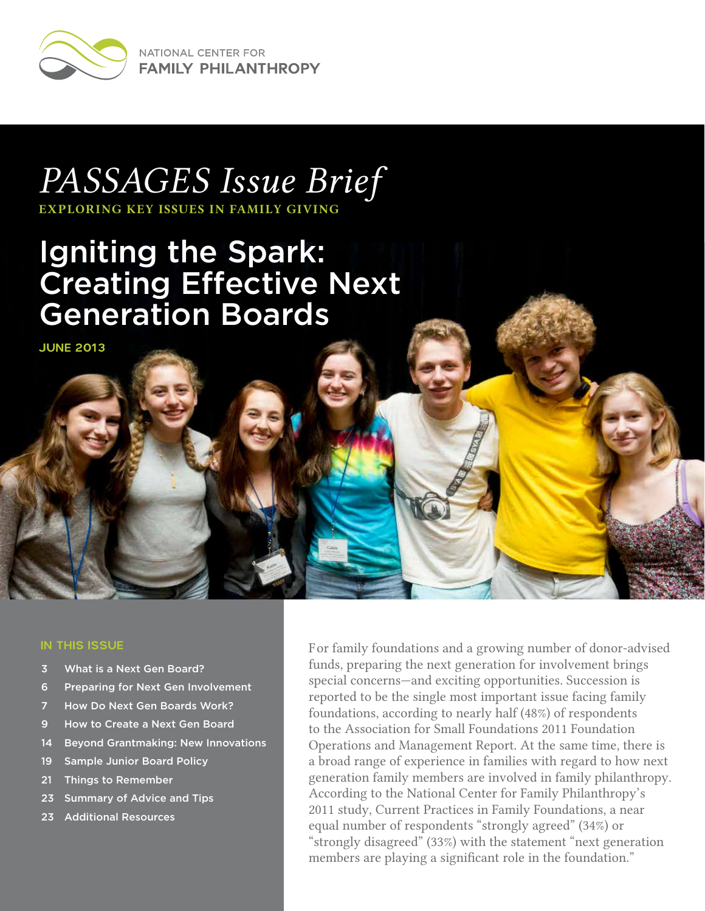

NATIONAL CENTER FOR **FAMILY PHILANTHROPY** 

# *PASSAGES Issue Brief*

*EXPLORING KEY ISSUES IN FAMILY GIVING*

## Igniting the Spark: Creating Effective Next Generation Boards

JUNE 2013

#### IN THIS ISSUE

- 3 What is a Next Gen Board?
- 6 Preparing for Next Gen Involvement
- 7 How Do Next Gen Boards Work?
- 9 How to Create a Next Gen Board
- 14 Beyond Grantmaking: New Innovations
- 19 Sample Junior Board Policy
- 21 Things to Remember
- 23 Summary of Advice and Tips
- 23 Additional Resources

For family foundations and a growing number of donor-advised funds, preparing the next generation for involvement brings special concerns—and exciting opportunities. Succession is reported to be the single most important issue facing family foundations, according to nearly half (48%) of respondents to the Association for Small Foundations 2011 Foundation Operations and Management Report. At the same time, there is a broad range of experience in families with regard to how next generation family members are involved in family philanthropy. According to the National Center for Family Philanthropy's 2011 study, Current Practices in Family Foundations, a near equal number of respondents "strongly agreed" (34%) or "strongly disagreed" (33%) with the statement "next generation members are playing a significant role in the foundation."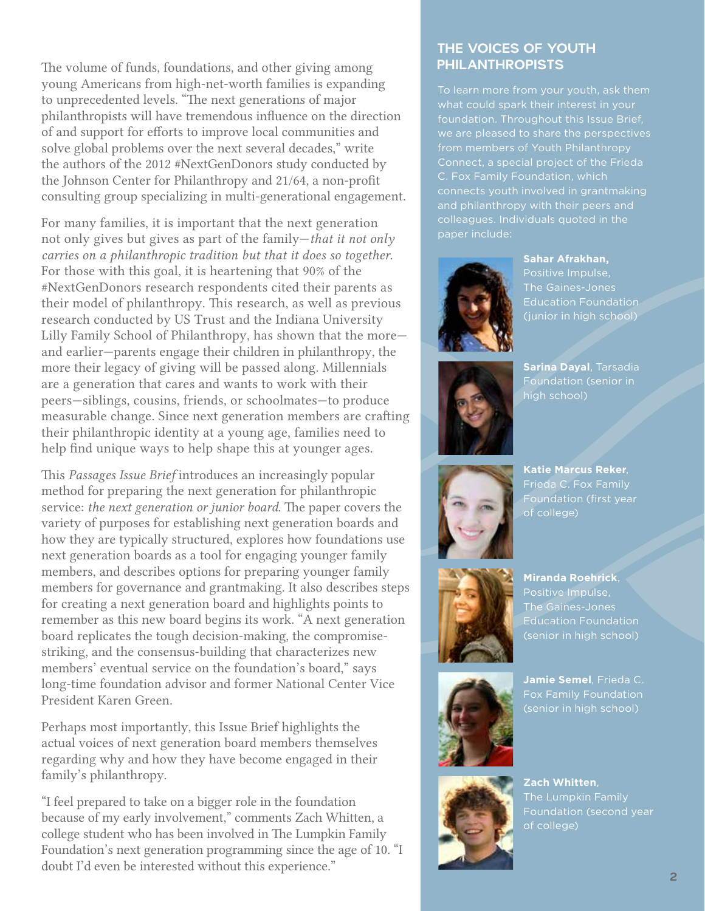The volume of funds, foundations, and other giving among young Americans from high-net-worth families is expanding to unprecedented levels. "The next generations of major philanthropists will have tremendous influence on the direction of and support for efforts to improve local communities and solve global problems over the next several decades," write the authors of the 2012 #NextGenDonors study conducted by the Johnson Center for Philanthropy and 21/64, a non-profit consulting group specializing in multi-generational engagement.

For many families, it is important that the next generation not only gives but gives as part of the family—*that it not only carries on a philanthropic tradition but that it does so together*. For those with this goal, it is heartening that 90% of the #NextGenDonors research respondents cited their parents as their model of philanthropy. This research, as well as previous research conducted by US Trust and the Indiana University Lilly Family School of Philanthropy, has shown that the more and earlier—parents engage their children in philanthropy, the more their legacy of giving will be passed along. Millennials are a generation that cares and wants to work with their peers—siblings, cousins, friends, or schoolmates—to produce measurable change. Since next generation members are crafting their philanthropic identity at a young age, families need to help find unique ways to help shape this at younger ages.

This *Passages Issue Brief* introduces an increasingly popular method for preparing the next generation for philanthropic service: *the next generation or junior board*. The paper covers the variety of purposes for establishing next generation boards and how they are typically structured, explores how foundations use next generation boards as a tool for engaging younger family members, and describes options for preparing younger family members for governance and grantmaking. It also describes steps for creating a next generation board and highlights points to remember as this new board begins its work. "A next generation board replicates the tough decision-making, the compromisestriking, and the consensus-building that characterizes new members' eventual service on the foundation's board," says long-time foundation advisor and former National Center Vice President Karen Green.

Perhaps most importantly, this Issue Brief highlights the actual voices of next generation board members themselves regarding why and how they have become engaged in their family's philanthropy.

"I feel prepared to take on a bigger role in the foundation because of my early involvement," comments Zach Whitten, a college student who has been involved in The Lumpkin Family Foundation's next generation programming since the age of 10. "I doubt I'd even be interested without this experience."

### THE VOICES OF YOUTH PHILANTHROPISTS

To learn more from your youth, ask them what could spark their interest in your foundation. Throughout this Issue Brief, from members of Youth Philanthropy connects youth involved in grantmaking and philanthropy with their peers and colleagues. Individuals quoted in the paper include:



**Sahar Afrakhan,** Positive Impulse, The Gaines-Jones Education Foundation (junior in high school)



**Sarina Dayal**, Tarsadia Foundation (senior in high school)



**Katie Marcus Reker**, Frieda C. Fox Family Foundation (first year of college)



**Miranda Roehrick**, Positive Impulse, The Gaines-Jones Education Foundation (senior in high school)



**Jamie Semel**, Frieda C. (senior in high school)



**Zach Whitten**, of college)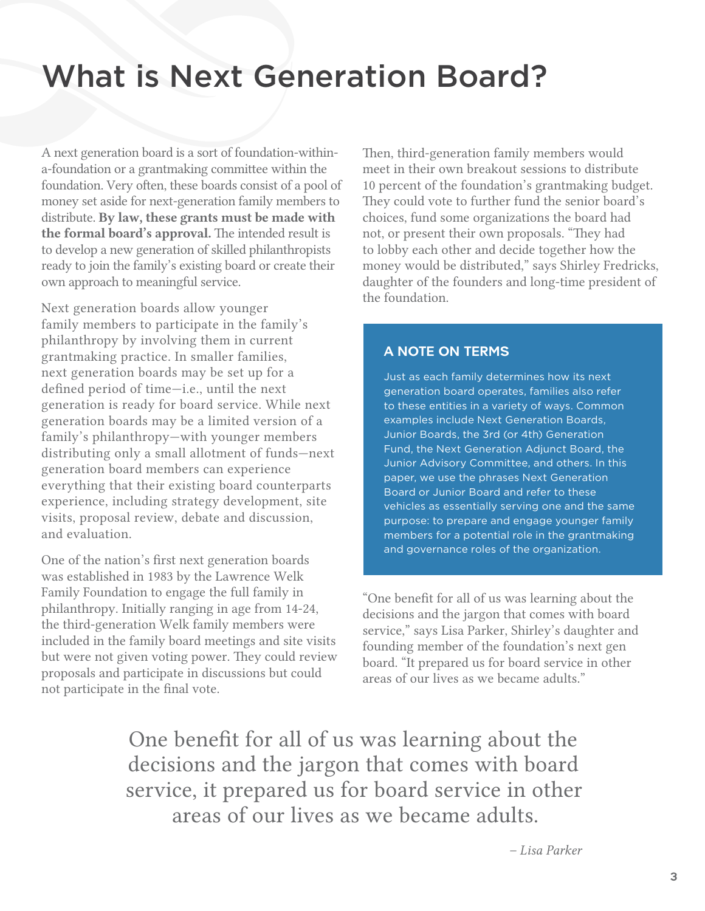## What is Next Generation Board?

A next generation board is a sort of foundation-withina-foundation or a grantmaking committee within the foundation. Very often, these boards consist of a pool of money set aside for next-generation family members to distribute. By law, these grants must be made with the formal board's approval. The intended result is to develop a new generation of skilled philanthropists ready to join the family's existing board or create their own approach to meaningful service.

Next generation boards allow younger family members to participate in the family's philanthropy by involving them in current grantmaking practice. In smaller families, next generation boards may be set up for a defined period of time—i.e., until the next generation is ready for board service. While next generation boards may be a limited version of a family's philanthropy—with younger members distributing only a small allotment of funds—next generation board members can experience everything that their existing board counterparts experience, including strategy development, site visits, proposal review, debate and discussion, and evaluation.

One of the nation's first next generation boards was established in 1983 by the Lawrence Welk Family Foundation to engage the full family in philanthropy. Initially ranging in age from 14-24, the third-generation Welk family members were included in the family board meetings and site visits but were not given voting power. They could review proposals and participate in discussions but could not participate in the final vote.

Then, third-generation family members would meet in their own breakout sessions to distribute 10 percent of the foundation's grantmaking budget. They could vote to further fund the senior board's choices, fund some organizations the board had not, or present their own proposals. "They had to lobby each other and decide together how the money would be distributed," says Shirley Fredricks, daughter of the founders and long-time president of the foundation.

### A NOTE ON TERMS

Just as each family determines how its next generation board operates, families also refer to these entities in a variety of ways. Common examples include Next Generation Boards, Junior Boards, the 3rd (or 4th) Generation Fund, the Next Generation Adjunct Board, the Junior Advisory Committee, and others. In this paper, we use the phrases Next Generation Board or Junior Board and refer to these vehicles as essentially serving one and the same purpose: to prepare and engage younger family members for a potential role in the grantmaking and governance roles of the organization.

"One benefit for all of us was learning about the decisions and the jargon that comes with board service," says Lisa Parker, Shirley's daughter and founding member of the foundation's next gen board. "It prepared us for board service in other areas of our lives as we became adults."

One benefit for all of us was learning about the decisions and the jargon that comes with board service, it prepared us for board service in other areas of our lives as we became adults.

*– Lisa Parker*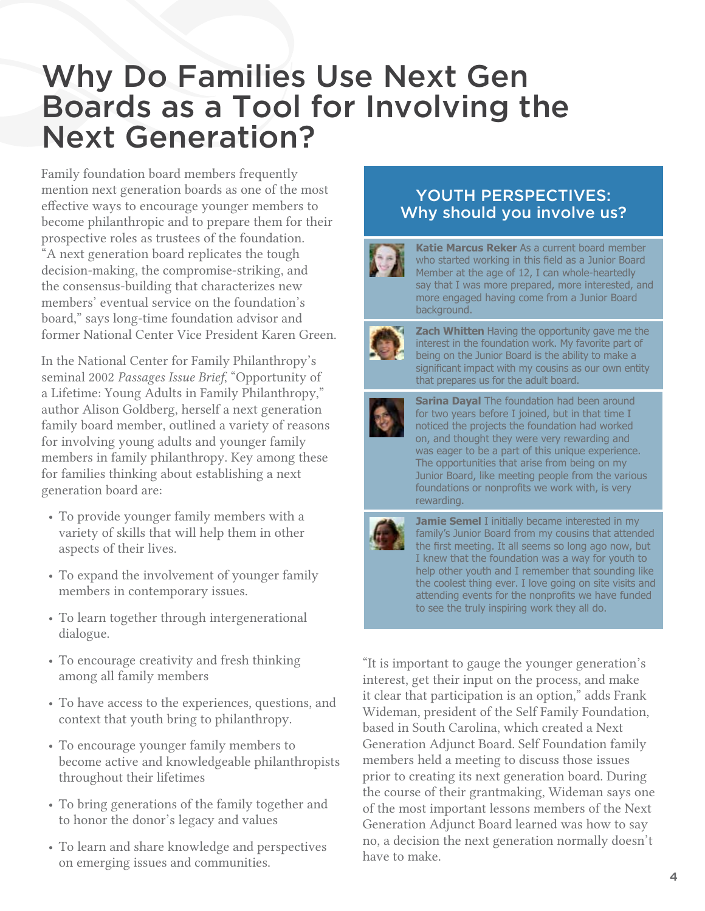## Why Do Families Use Next Gen Boards as a Tool for Involving the Next Generation?

Family foundation board members frequently mention next generation boards as one of the most effective ways to encourage younger members to become philanthropic and to prepare them for their prospective roles as trustees of the foundation. "A next generation board replicates the tough decision-making, the compromise-striking, and the consensus-building that characterizes new members' eventual service on the foundation's board," says long-time foundation advisor and former National Center Vice President Karen Green.

In the National Center for Family Philanthropy's seminal 2002 *Passages Issue Brief*, "Opportunity of a Lifetime: Young Adults in Family Philanthropy," author Alison Goldberg, herself a next generation family board member, outlined a variety of reasons for involving young adults and younger family members in family philanthropy. Key among these for families thinking about establishing a next generation board are:

- To provide younger family members with a variety of skills that will help them in other aspects of their lives.
- To expand the involvement of younger family members in contemporary issues.
- To learn together through intergenerational dialogue.
- To encourage creativity and fresh thinking among all family members
- To have access to the experiences, questions, and context that youth bring to philanthropy.
- To encourage younger family members to become active and knowledgeable philanthropists throughout their lifetimes
- To bring generations of the family together and to honor the donor's legacy and values
- To learn and share knowledge and perspectives on emerging issues and communities.

## YOUTH PERSPECTIVES: Why should you involve us?



**Katie Marcus Reker** As a current board member who started working in this field as a Junior Board Member at the age of 12, I can whole-heartedly say that I was more prepared, more interested, and more engaged having come from a Junior Board background.



**Zach Whitten** Having the opportunity gave me the interest in the foundation work. My favorite part of being on the Junior Board is the ability to make a significant impact with my cousins as our own entity that prepares us for the adult board.



**Sarina Dayal** The foundation had been around for two years before I joined, but in that time I noticed the projects the foundation had worked on, and thought they were very rewarding and was eager to be a part of this unique experience. The opportunities that arise from being on my Junior Board, like meeting people from the various foundations or nonprofits we work with, is very rewarding.



**Jamie Semel I** initially became interested in my family's Junior Board from my cousins that attended the first meeting. It all seems so long ago now, but I knew that the foundation was a way for youth to help other youth and I remember that sounding like the coolest thing ever. I love going on site visits and attending events for the nonprofits we have funded to see the truly inspiring work they all do.

"It is important to gauge the younger generation's interest, get their input on the process, and make it clear that participation is an option," adds Frank Wideman, president of the Self Family Foundation, based in South Carolina, which created a Next Generation Adjunct Board. Self Foundation family members held a meeting to discuss those issues prior to creating its next generation board. During the course of their grantmaking, Wideman says one of the most important lessons members of the Next Generation Adjunct Board learned was how to say no, a decision the next generation normally doesn't have to make.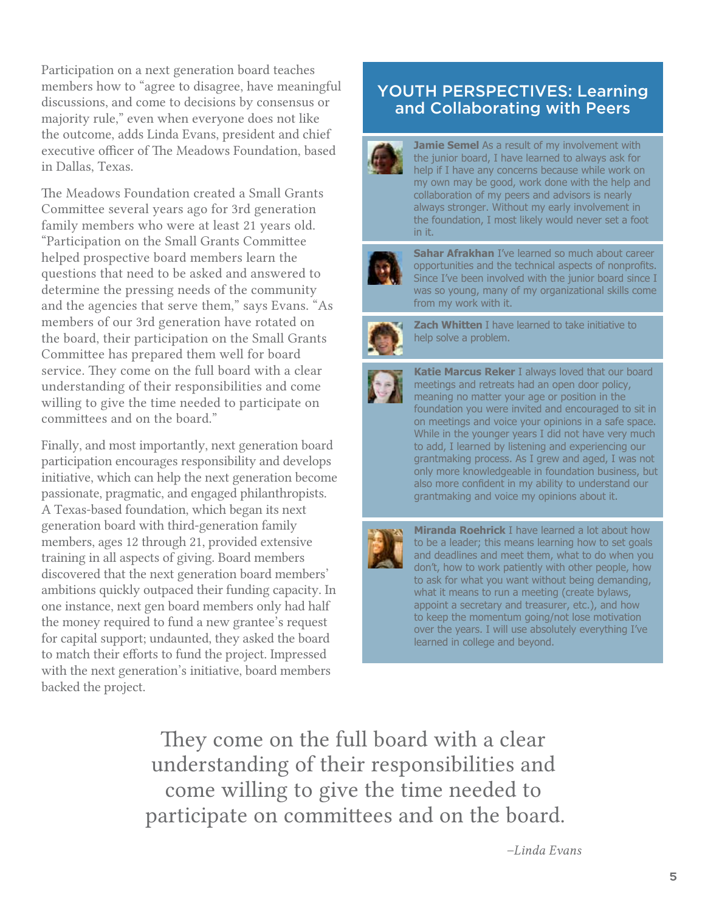Participation on a next generation board teaches members how to "agree to disagree, have meaningful discussions, and come to decisions by consensus or majority rule," even when everyone does not like the outcome, adds Linda Evans, president and chief executive officer of The Meadows Foundation, based in Dallas, Texas.

The Meadows Foundation created a Small Grants Committee several years ago for 3rd generation family members who were at least 21 years old. "Participation on the Small Grants Committee helped prospective board members learn the questions that need to be asked and answered to determine the pressing needs of the community and the agencies that serve them," says Evans. "As members of our 3rd generation have rotated on the board, their participation on the Small Grants Committee has prepared them well for board service. They come on the full board with a clear understanding of their responsibilities and come willing to give the time needed to participate on committees and on the board."

Finally, and most importantly, next generation board participation encourages responsibility and develops initiative, which can help the next generation become passionate, pragmatic, and engaged philanthropists. A Texas-based foundation, which began its next generation board with third-generation family members, ages 12 through 21, provided extensive training in all aspects of giving. Board members discovered that the next generation board members' ambitions quickly outpaced their funding capacity. In one instance, next gen board members only had half the money required to fund a new grantee's request for capital support; undaunted, they asked the board to match their efforts to fund the project. Impressed with the next generation's initiative, board members backed the project.

## YOUTH PERSPECTIVES: Learning and Collaborating with Peers



**Jamie Semel** As a result of my involvement with the junior board, I have learned to always ask for help if I have any concerns because while work on my own may be good, work done with the help and collaboration of my peers and advisors is nearly always stronger. Without my early involvement in the foundation, I most likely would never set a foot in it.



**Sahar Afrakhan** I've learned so much about career opportunities and the technical aspects of nonprofits. Since I've been involved with the junior board since I was so young, many of my organizational skills come from my work with it.



**Zach Whitten** I have learned to take initiative to help solve a problem.



**Katie Marcus Reker** I always loved that our board meetings and retreats had an open door policy, meaning no matter your age or position in the foundation you were invited and encouraged to sit in on meetings and voice your opinions in a safe space. While in the younger years I did not have very much to add, I learned by listening and experiencing our grantmaking process. As I grew and aged, I was not only more knowledgeable in foundation business, but also more confident in my ability to understand our grantmaking and voice my opinions about it.



**Miranda Roehrick** I have learned a lot about how to be a leader; this means learning how to set goals and deadlines and meet them, what to do when you don't, how to work patiently with other people, how to ask for what you want without being demanding, what it means to run a meeting (create bylaws, appoint a secretary and treasurer, etc.), and how to keep the momentum going/not lose motivation over the years. I will use absolutely everything I've learned in college and beyond.

They come on the full board with a clear understanding of their responsibilities and come willing to give the time needed to participate on committees and on the board.

*–Linda Evans*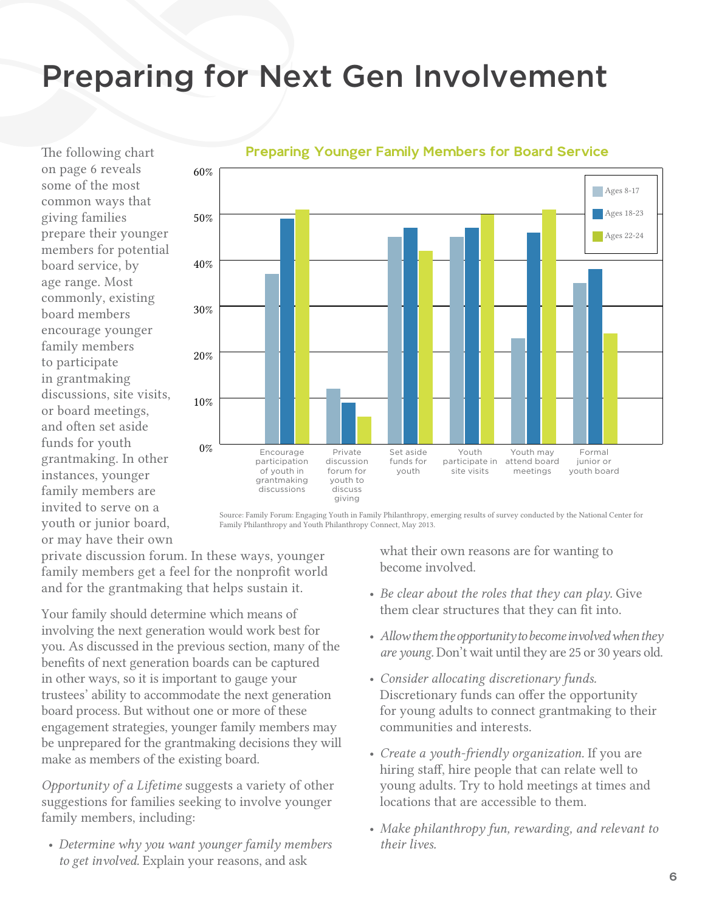# Preparing for Next Gen Involvement

The following chart on page 6 reveals some of the most common ways that giving families prepare their younger members for potential board service, by age range. Most commonly, existing board members encourage younger family members to participate in grantmaking discussions, site visits, or board meetings, and often set aside funds for youth grantmaking. In other instances, younger family members are invited to serve on a youth or junior board, or may have their own



#### Preparing Younger Family Members for Board Service

Source: Family Forum: Engaging Youth in Family Philanthropy, emerging results of survey conducted by the National Center for Family Philanthropy and Youth Philanthropy Connect, May 2013.

private discussion forum. In these ways, younger family members get a feel for the nonprofit world and for the grantmaking that helps sustain it.

Your family should determine which means of involving the next generation would work best for you. As discussed in the previous section, many of the benefits of next generation boards can be captured in other ways, so it is important to gauge your trustees' ability to accommodate the next generation board process. But without one or more of these engagement strategies, younger family members may be unprepared for the grantmaking decisions they will make as members of the existing board.

*Opportunity of a Lifetime* suggests a variety of other suggestions for families seeking to involve younger family members, including:

• *Determine why you want younger family members to get involved.* Explain your reasons, and ask

what their own reasons are for wanting to become involved.

- *Be clear about the roles that they can play.* Give them clear structures that they can fit into.
- *Allow them the opportunity to become involved when they are young.* Don't wait until they are 25 or 30 years old.
- *Consider allocating discretionary funds.*  Discretionary funds can offer the opportunity for young adults to connect grantmaking to their communities and interests.
- *Create a youth-friendly organization.* If you are hiring staff, hire people that can relate well to young adults. Try to hold meetings at times and locations that are accessible to them.
- *Make philanthropy fun, rewarding, and relevant to their lives.*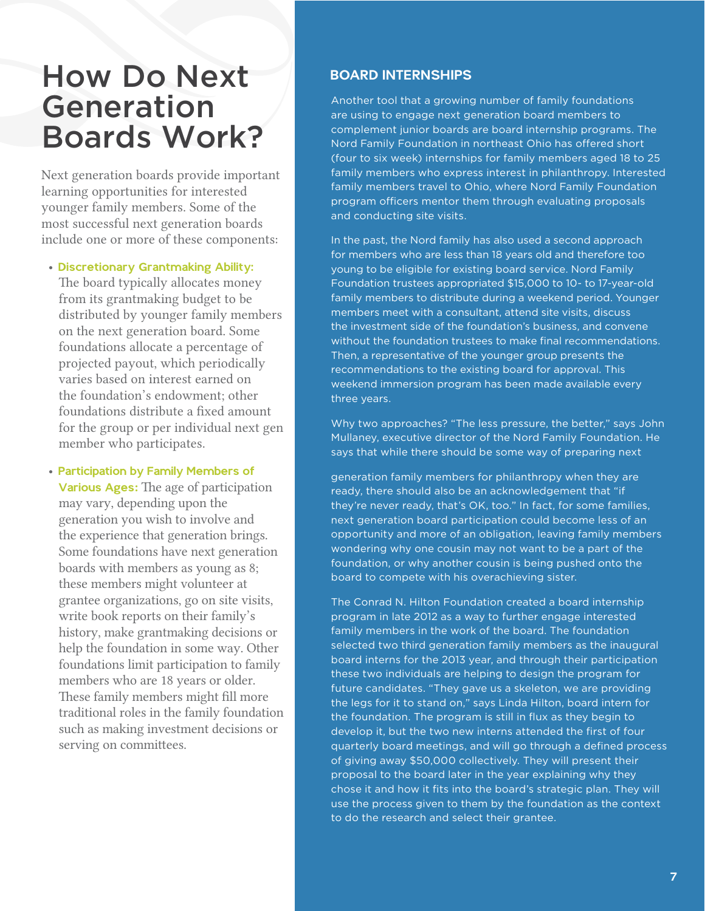## How Do Next Generation Boards Work?

Next generation boards provide important learning opportunities for interested younger family members. Some of the most successful next generation boards include one or more of these components:

#### • Discretionary Grantmaking Ability:

The board typically allocates money from its grantmaking budget to be distributed by younger family members on the next generation board. Some foundations allocate a percentage of projected payout, which periodically varies based on interest earned on the foundation's endowment; other foundations distribute a fixed amount for the group or per individual next gen member who participates.

• Participation by Family Members of Various Ages: The age of participation may vary, depending upon the generation you wish to involve and the experience that generation brings. Some foundations have next generation boards with members as young as 8; these members might volunteer at grantee organizations, go on site visits, write book reports on their family's history, make grantmaking decisions or help the foundation in some way. Other foundations limit participation to family members who are 18 years or older. These family members might fill more traditional roles in the family foundation such as making investment decisions or serving on committees.

#### BOARD INTERNSHIPS

Another tool that a growing number of family foundations are using to engage next generation board members to complement junior boards are board internship programs. The Nord Family Foundation in northeast Ohio has offered short (four to six week) internships for family members aged 18 to 25 family members who express interest in philanthropy. Interested family members travel to Ohio, where Nord Family Foundation program officers mentor them through evaluating proposals and conducting site visits.

In the past, the Nord family has also used a second approach for members who are less than 18 years old and therefore too young to be eligible for existing board service. Nord Family Foundation trustees appropriated \$15,000 to 10- to 17-year-old family members to distribute during a weekend period. Younger members meet with a consultant, attend site visits, discuss the investment side of the foundation's business, and convene without the foundation trustees to make final recommendations. Then, a representative of the younger group presents the recommendations to the existing board for approval. This weekend immersion program has been made available every three years.

Why two approaches? "The less pressure, the better," says John Mullaney, executive director of the Nord Family Foundation. He says that while there should be some way of preparing next

generation family members for philanthropy when they are ready, there should also be an acknowledgement that "if they're never ready, that's OK, too." In fact, for some families, next generation board participation could become less of an opportunity and more of an obligation, leaving family members wondering why one cousin may not want to be a part of the foundation, or why another cousin is being pushed onto the board to compete with his overachieving sister.

The Conrad N. Hilton Foundation created a board internship program in late 2012 as a way to further engage interested family members in the work of the board. The foundation selected two third generation family members as the inaugural board interns for the 2013 year, and through their participation these two individuals are helping to design the program for future candidates. "They gave us a skeleton, we are providing the legs for it to stand on," says Linda Hilton, board intern for the foundation. The program is still in flux as they begin to develop it, but the two new interns attended the first of four quarterly board meetings, and will go through a defined process of giving away \$50,000 collectively. They will present their proposal to the board later in the year explaining why they chose it and how it fits into the board's strategic plan. They will use the process given to them by the foundation as the context to do the research and select their grantee.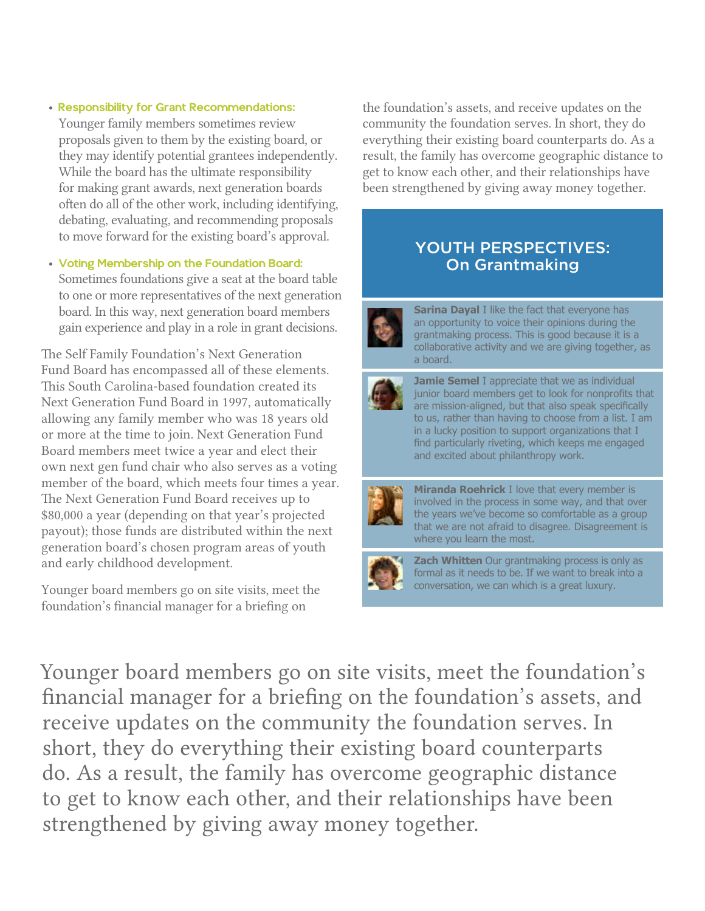- Responsibility for Grant Recommendations: Younger family members sometimes review proposals given to them by the existing board, or they may identify potential grantees independently. While the board has the ultimate responsibility for making grant awards, next generation boards often do all of the other work, including identifying, debating, evaluating, and recommending proposals to move forward for the existing board's approval.
- Voting Membership on the Foundation Board: Sometimes foundations give a seat at the board table to one or more representatives of the next generation board. In this way, next generation board members gain experience and play in a role in grant decisions.

The Self Family Foundation's Next Generation Fund Board has encompassed all of these elements. This South Carolina-based foundation created its Next Generation Fund Board in 1997, automatically allowing any family member who was 18 years old or more at the time to join. Next Generation Fund Board members meet twice a year and elect their own next gen fund chair who also serves as a voting member of the board, which meets four times a year. The Next Generation Fund Board receives up to \$80,000 a year (depending on that year's projected payout); those funds are distributed within the next generation board's chosen program areas of youth and early childhood development.

Younger board members go on site visits, meet the foundation's financial manager for a briefing on

the foundation's assets, and receive updates on the community the foundation serves. In short, they do everything their existing board counterparts do. As a result, the family has overcome geographic distance to get to know each other, and their relationships have been strengthened by giving away money together.

## YOUTH PERSPECTIVES: On Grantmaking



**Sarina Dayal** I like the fact that everyone has an opportunity to voice their opinions during the grantmaking process. This is good because it is a collaborative activity and we are giving together, as a board.



**Jamie Semel I** appreciate that we as individual junior board members get to look for nonprofits that are mission-aligned, but that also speak specifically to us, rather than having to choose from a list. I am in a lucky position to support organizations that I find particularly riveting, which keeps me engaged and excited about philanthropy work.



**Miranda Roehrick** I love that every member is involved in the process in some way, and that over the years we've become so comfortable as a group that we are not afraid to disagree. Disagreement is where you learn the most.



**Zach Whitten** Our grantmaking process is only as formal as it needs to be. If we want to break into a conversation, we can which is a great luxury.

Younger board members go on site visits, meet the foundation's financial manager for a briefing on the foundation's assets, and receive updates on the community the foundation serves. In short, they do everything their existing board counterparts do. As a result, the family has overcome geographic distance to get to know each other, and their relationships have been strengthened by giving away money together.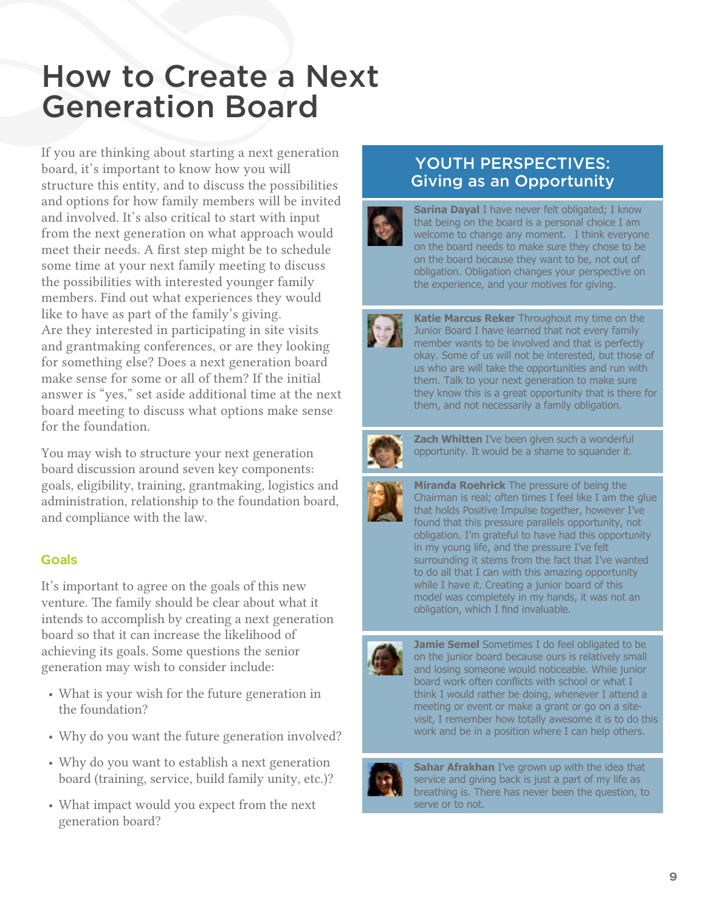## How to Create a Next Generation Board

If you are thinking about starting a next generation board, it's important to know how you will structure this entity, and to discuss the possibilities and options for how family members will be invited and involved. It's also critical to start with input from the next generation on what approach would meet their needs. A first step might be to schedule some time at your next family meeting to discuss the possibilities with interested younger family members. Find out what experiences they would like to have as part of the family's giving. Are they interested in participating in site visits and grantmaking conferences, or are they looking for something else? Does a next generation board make sense for some or all of them? If the initial answer is "yes," set aside additional time at the next board meeting to discuss what options make sense for the foundation.

You may wish to structure your next generation board discussion around seven key components: goals, eligibility, training, grantmaking, logistics and administration, relationship to the foundation board, and compliance with the law.

## Goals

It's important to agree on the goals of this new venture. The family should be clear about what it intends to accomplish by creating a next generation board so that it can increase the likelihood of achieving its goals. Some questions the senior generation may wish to consider include:

- What is your wish for the future generation in the foundation?
- Why do you want the future generation involved?
- Why do you want to establish a next generation board (training, service, build family unity, etc.)?
- What impact would you expect from the next generation board?

## YOUTH PERSPECTIVES: Giving as an Opportunity

**Sarina Dayal** I have never felt obligated; I know that being on the board is a personal choice I am welcome to change any moment. I think everyone on the board needs to make sure they chose to be on the board because they want to be, not out of obligation. Obligation changes your perspective on the experience, and your motives for giving.



**Katie Marcus Reker** Throughout my time on the Junior Board I have learned that not every family member wants to be involved and that is perfectly okay. Some of us will not be interested, but those of us who are will take the opportunities and run with them. Talk to your next generation to make sure they know this is a great opportunity that is there for them, and not necessarily a family obligation.



**Zach Whitten** I've been given such a wonderful opportunity. It would be a shame to squander it.



**Miranda Roehrick** The pressure of being the Chairman is real; often times I feel like I am the glue that holds Positive Impulse together, however I've found that this pressure parallels opportunity, not obligation. I'm grateful to have had this opportunity in my young life, and the pressure I've felt surrounding it stems from the fact that I've wanted to do all that I can with this amazing opportunity while I have it. Creating a junior board of this model was completely in my hands, it was not an obligation, which I find invaluable.



**Jamie Semel** Sometimes I do feel obligated to be on the junior board because ours is relatively small and losing someone would noticeable. While junior board work often conflicts with school or what I think I would rather be doing, whenever I attend a meeting or event or make a grant or go on a sitevisit, I remember how totally awesome it is to do this work and be in a position where I can help others.



**Sahar Afrakhan** I've grown up with the idea that service and giving back is just a part of my life as breathing is. There has never been the question, to serve or to not.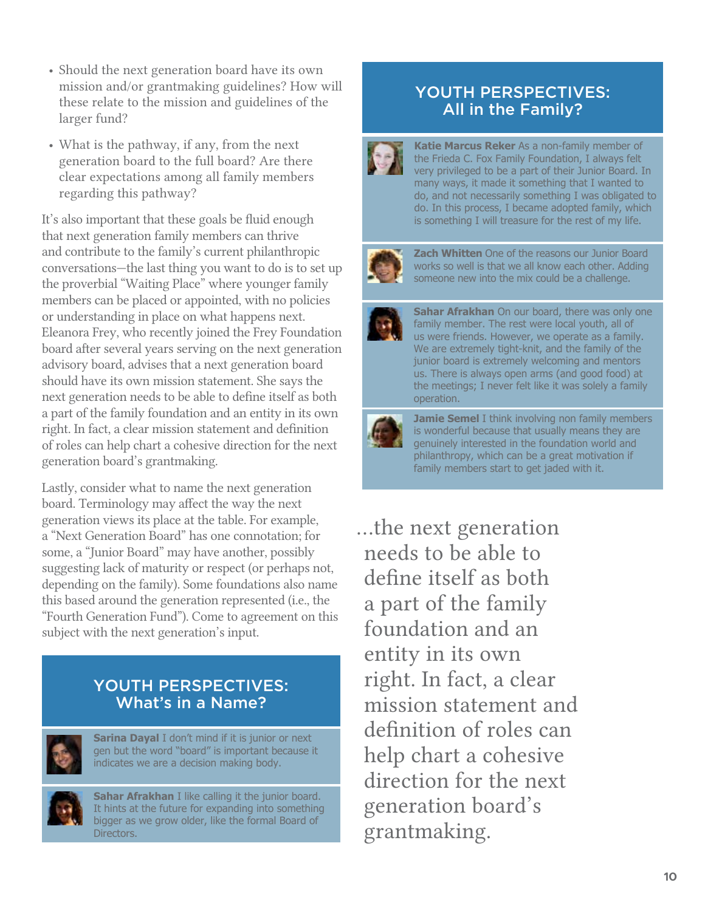- Should the next generation board have its own mission and/or grantmaking guidelines? How will these relate to the mission and guidelines of the larger fund?
- What is the pathway, if any, from the next generation board to the full board? Are there clear expectations among all family members regarding this pathway?

It's also important that these goals be fluid enough that next generation family members can thrive and contribute to the family's current philanthropic conversations—the last thing you want to do is to set up the proverbial "Waiting Place" where younger family members can be placed or appointed, with no policies or understanding in place on what happens next. Eleanora Frey, who recently joined the Frey Foundation board after several years serving on the next generation advisory board, advises that a next generation board should have its own mission statement. She says the next generation needs to be able to define itself as both a part of the family foundation and an entity in its own right. In fact, a clear mission statement and definition of roles can help chart a cohesive direction for the next generation board's grantmaking.

Lastly, consider what to name the next generation board. Terminology may affect the way the next generation views its place at the table. For example, a "Next Generation Board" has one connotation; for some, a "Junior Board" may have another, possibly suggesting lack of maturity or respect (or perhaps not, depending on the family). Some foundations also name this based around the generation represented (i.e., the "Fourth Generation Fund"). Come to agreement on this subject with the next generation's input.

## YOUTH PERSPECTIVES: What's in a Name?



**Sarina Dayal** I don't mind if it is junior or next gen but the word "board" is important because it indicates we are a decision making body.



**Sahar Afrakhan** I like calling it the junior board. It hints at the future for expanding into something bigger as we grow older, like the formal Board of Directors.

## YOUTH PERSPECTIVES: All in the Family?



**Katie Marcus Reker** As a non-family member of the Frieda C. Fox Family Foundation, I always felt very privileged to be a part of their Junior Board. In many ways, it made it something that I wanted to do, and not necessarily something I was obligated to do. In this process, I became adopted family, which is something I will treasure for the rest of my life.



**Zach Whitten** One of the reasons our Junior Board works so well is that we all know each other. Adding someone new into the mix could be a challenge.



**Sahar Afrakhan** On our board, there was only one family member. The rest were local youth, all of us were friends. However, we operate as a family. We are extremely tight-knit, and the family of the junior board is extremely welcoming and mentors us. There is always open arms (and good food) at the meetings; I never felt like it was solely a family operation.



**Jamie Semel I** think involving non family members is wonderful because that usually means they are genuinely interested in the foundation world and philanthropy, which can be a great motivation if family members start to get jaded with it.

…the next generation needs to be able to define itself as both a part of the family foundation and an entity in its own right. In fact, a clear mission statement and definition of roles can help chart a cohesive direction for the next generation board's grantmaking.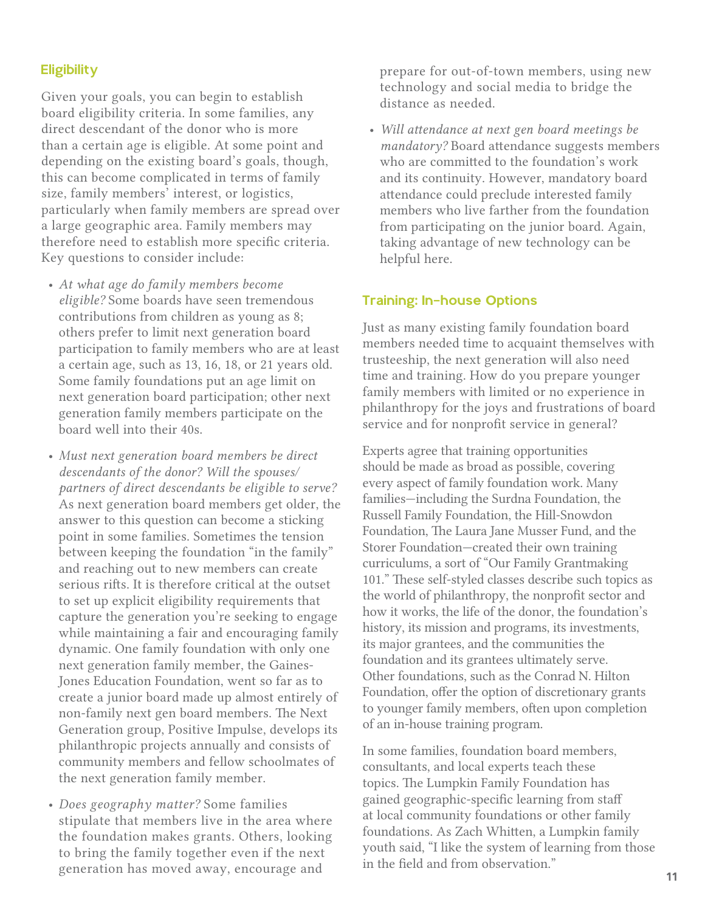### **Eligibility**

Given your goals, you can begin to establish board eligibility criteria. In some families, any direct descendant of the donor who is more than a certain age is eligible. At some point and depending on the existing board's goals, though, this can become complicated in terms of family size, family members' interest, or logistics, particularly when family members are spread over a large geographic area. Family members may therefore need to establish more specific criteria. Key questions to consider include:

- *At what age do family members become eligible?* Some boards have seen tremendous contributions from children as young as 8; others prefer to limit next generation board participation to family members who are at least a certain age, such as 13, 16, 18, or 21 years old. Some family foundations put an age limit on next generation board participation; other next generation family members participate on the board well into their 40s.
- *Must next generation board members be direct descendants of the donor? Will the spouses/ partners of direct descendants be eligible to serve?* As next generation board members get older, the answer to this question can become a sticking point in some families. Sometimes the tension between keeping the foundation "in the family" and reaching out to new members can create serious rifts. It is therefore critical at the outset to set up explicit eligibility requirements that capture the generation you're seeking to engage while maintaining a fair and encouraging family dynamic. One family foundation with only one next generation family member, the Gaines-Jones Education Foundation, went so far as to create a junior board made up almost entirely of non-family next gen board members. The Next Generation group, Positive Impulse, develops its philanthropic projects annually and consists of community members and fellow schoolmates of the next generation family member.
- *Does geography matter?* Some families stipulate that members live in the area where the foundation makes grants. Others, looking to bring the family together even if the next generation has moved away, encourage and

prepare for out-of-town members, using new technology and social media to bridge the distance as needed.

• *Will attendance at next gen board meetings be mandatory?* Board attendance suggests members who are committed to the foundation's work and its continuity. However, mandatory board attendance could preclude interested family members who live farther from the foundation from participating on the junior board. Again, taking advantage of new technology can be helpful here.

#### Training: In-house Options

Just as many existing family foundation board members needed time to acquaint themselves with trusteeship, the next generation will also need time and training. How do you prepare younger family members with limited or no experience in philanthropy for the joys and frustrations of board service and for nonprofit service in general?

Experts agree that training opportunities should be made as broad as possible, covering every aspect of family foundation work. Many families—including the Surdna Foundation, the Russell Family Foundation, the Hill-Snowdon Foundation, The Laura Jane Musser Fund, and the Storer Foundation—created their own training curriculums, a sort of "Our Family Grantmaking 101." These self-styled classes describe such topics as the world of philanthropy, the nonprofit sector and how it works, the life of the donor, the foundation's history, its mission and programs, its investments, its major grantees, and the communities the foundation and its grantees ultimately serve. Other foundations, such as the Conrad N. Hilton Foundation, offer the option of discretionary grants to younger family members, often upon completion of an in-house training program.

In some families, foundation board members, consultants, and local experts teach these topics. The Lumpkin Family Foundation has gained geographic-specific learning from staff at local community foundations or other family foundations. As Zach Whitten, a Lumpkin family youth said, "I like the system of learning from those in the field and from observation."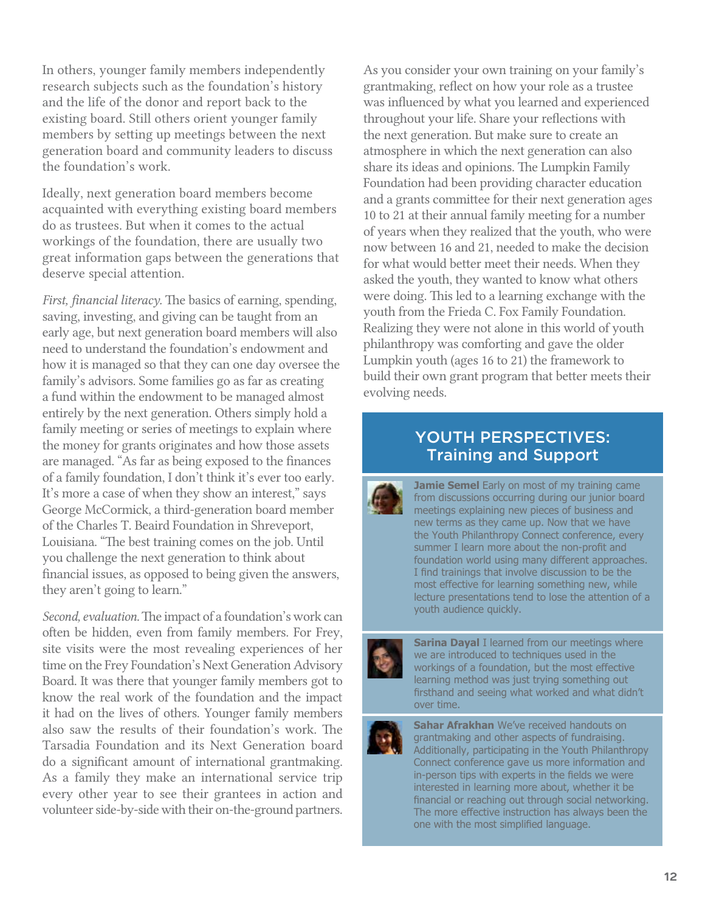In others, younger family members independently research subjects such as the foundation's history and the life of the donor and report back to the existing board. Still others orient younger family members by setting up meetings between the next generation board and community leaders to discuss the foundation's work.

Ideally, next generation board members become acquainted with everything existing board members do as trustees. But when it comes to the actual workings of the foundation, there are usually two great information gaps between the generations that deserve special attention.

*First, financial literacy.* The basics of earning, spending, saving, investing, and giving can be taught from an early age, but next generation board members will also need to understand the foundation's endowment and how it is managed so that they can one day oversee the family's advisors. Some families go as far as creating a fund within the endowment to be managed almost entirely by the next generation. Others simply hold a family meeting or series of meetings to explain where the money for grants originates and how those assets are managed. "As far as being exposed to the finances of a family foundation, I don't think it's ever too early. It's more a case of when they show an interest," says George McCormick, a third-generation board member of the Charles T. Beaird Foundation in Shreveport, Louisiana. "The best training comes on the job. Until you challenge the next generation to think about financial issues, as opposed to being given the answers, they aren't going to learn."

*Second, evaluation.* The impact of a foundation's work can often be hidden, even from family members. For Frey, site visits were the most revealing experiences of her time on the Frey Foundation's Next Generation Advisory Board. It was there that younger family members got to know the real work of the foundation and the impact it had on the lives of others. Younger family members also saw the results of their foundation's work. The Tarsadia Foundation and its Next Generation board do a significant amount of international grantmaking. As a family they make an international service trip every other year to see their grantees in action and volunteer side-by-side with their on-the-ground partners.

As you consider your own training on your family's grantmaking, reflect on how your role as a trustee was influenced by what you learned and experienced throughout your life. Share your reflections with the next generation. But make sure to create an atmosphere in which the next generation can also share its ideas and opinions. The Lumpkin Family Foundation had been providing character education and a grants committee for their next generation ages 10 to 21 at their annual family meeting for a number of years when they realized that the youth, who were now between 16 and 21, needed to make the decision for what would better meet their needs. When they asked the youth, they wanted to know what others were doing. This led to a learning exchange with the youth from the Frieda C. Fox Family Foundation. Realizing they were not alone in this world of youth philanthropy was comforting and gave the older Lumpkin youth (ages 16 to 21) the framework to build their own grant program that better meets their evolving needs.

## YOUTH PERSPECTIVES: Training and Support



**Jamie Semel** Early on most of my training came from discussions occurring during our junior board meetings explaining new pieces of business and new terms as they came up. Now that we have the Youth Philanthropy Connect conference, every summer I learn more about the non-profit and foundation world using many different approaches. I find trainings that involve discussion to be the most effective for learning something new, while lecture presentations tend to lose the attention of a youth audience quickly.



**Sarina Dayal I** learned from our meetings where we are introduced to techniques used in the workings of a foundation, but the most effective learning method was just trying something out firsthand and seeing what worked and what didn't over time.



**Sahar Afrakhan** We've received handouts on grantmaking and other aspects of fundraising. Additionally, participating in the Youth Philanthropy Connect conference gave us more information and in-person tips with experts in the fields we were interested in learning more about, whether it be financial or reaching out through social networking. The more effective instruction has always been the one with the most simplified language.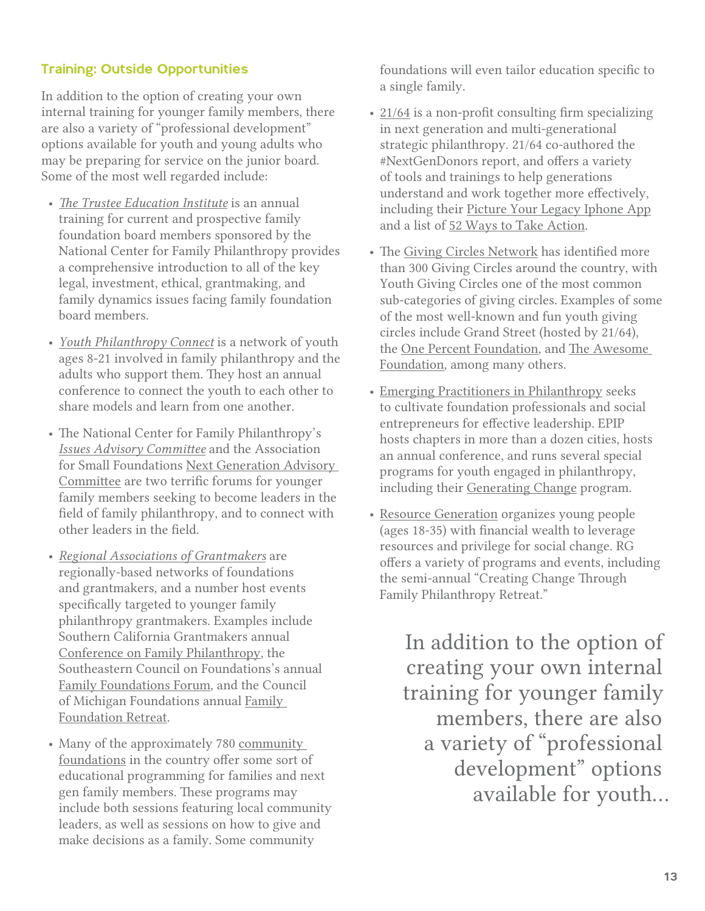## Training: Outside Opportunities

In addition to the option of creating your own internal training for younger family members, there are also a variety of "professional development" options available for youth and young adults who may be preparing for service on the junior board. Some of the most well regarded include:

- *[The Trustee Education Institute](http://www.ncfp.org)* is an annual training for current and prospective family foundation board members sponsored by the National Center for Family Philanthropy provides a comprehensive introduction to all of the key legal, investment, ethical, grantmaking, and family dynamics issues facing family foundation board members.
- *[Youth Philanthropy Connect](http://fcfox.org/ypc/)* is a network of youth ages 8-21 involved in family philanthropy and the adults who support them. They host an annual conference to connect the youth to each other to share models and learn from one another.
- The National Center for Family Philanthropy's *[Issues Advisory Committee](http://www.ncfp.org)* and the Association for Small Foundations [Next Generation Advisory](http://www.smallfoundations.org/forms/committee/CommitteeFormPublic/view?id=16F000000AF&year=2013)  [Committee](http://www.smallfoundations.org/forms/committee/CommitteeFormPublic/view?id=16F000000AF&year=2013) are two terrific forums for younger family members seeking to become leaders in the field of family philanthropy, and to connect with other leaders in the field.
- *[Regional Associations of Grantmakers](http://www.givingforum.org/)* are regionally-based networks of foundations and grantmakers, and a number host events specifically targeted to younger family philanthropy grantmakers. Examples include Southern California Grantmakers annual [Conference on Family Philanthropy](http://www.socalgrantmakers.org/events/upcoming%3FeventId%3D461189%26EventViewMode%3DEventDetails), the Southeastern Council on Foundations's annual [Family Foundations Forum,](http://www.secf.org/events/event_details.asp%3Fid%3D295648) and the Council of Michigan Foundations annual [Family](http://www.michiganfoundations.org/s_cmf/sec.asp%3FCID%3D17417%26DID%3D43899)  [Foundation Retreat](http://www.michiganfoundations.org/s_cmf/sec.asp%3FCID%3D17417%26DID%3D43899).
- Many of the approximately 780 community [foundations](http://www.cof.org/page/community-foundation-programs-serviceshttp://www.cof.org/page/community-foundation-programs-services) in the country offer some sort of educational programming for families and next gen family members. These programs may include both sessions featuring local community leaders, as well as sessions on how to give and make decisions as a family. Some community

foundations will even tailor education specific to a single family.

- [21/64](http://2164.net/) is a non-profit consulting firm specializing in next generation and multi-generational strategic philanthropy. 21/64 co-authored the #NextGenDonors report, and offers a variety of tools and trainings to help generations understand and work together more effectively, including their [Picture Your Legacy Iphone App](http://itunes.apple.com/us/app/picture-your-legacy/id363043835%3Fmt%3D8) and a list of [52 Ways to Take Action](http://download.2164.net/PDF-newsletters/52WaysToTakeAction-2009.pdf).
- The [Giving Circles Network](http://www.givingcircles.org/) has identified more than 300 Giving Circles around the country, with Youth Giving Circles one of the most common sub-categories of giving circles. Examples of some of the most well-known and fun youth giving circles include Grand Street (hosted by 21/64), the [One Percent Foundation,](http://www.onepercentfoundation.org/) and [The Awesome](http://www.awesomefoundation.org/)  [Foundation,](http://www.awesomefoundation.org/) among many others.
- [Emerging Practitioners in Philanthropy](http://www.epip.org/) seeks to cultivate foundation professionals and social entrepreneurs for effective leadership. EPIP hosts chapters in more than a dozen cities, hosts an annual conference, and runs several special programs for youth engaged in philanthropy, including their [Generating Change](http://www.epip.org/programs/generating-change/) program.
- [Resource Generation](http://www.resourcegeneration.org/) organizes young people (ages 18-35) with financial wealth to leverage resources and privilege for social change. RG offers a variety of programs and events, including the semi-annual "Creating Change Through Family Philanthropy Retreat."

In addition to the option of creating your own internal training for younger family members, there are also a variety of "professional development" options available for youth…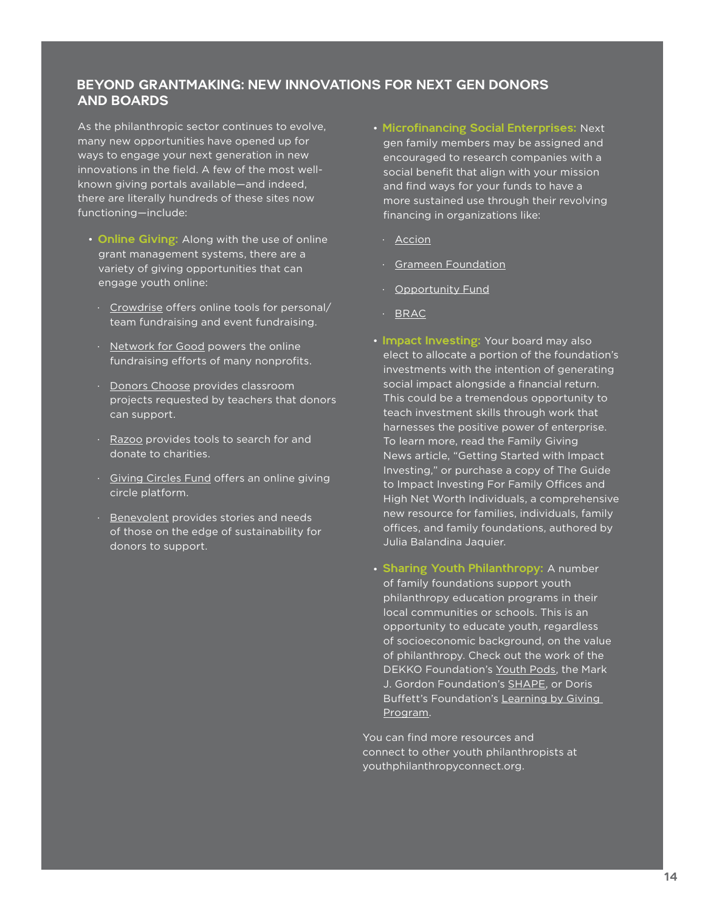## BEYOND GRANTMAKING: NEW INNOVATIONS FOR NEXT GEN DONORS<br>AND BOARDS

As the philanthropic sector continues to evolve, many new opportunities have opened up for ways to engage your next generation in new innovations in the field. A few of the most wellknown giving portals available—and indeed, there are literally hundreds of these sites now functioning—include:

- Online Giving: Along with the use of online grant management systems, there are a variety of giving opportunities that can engage youth online:
	- ∙ [Crowdrise](http://www.crowdrise.com/about) offers online tools for personal/ team fundraising and event fundraising.
- ∙ [Network for Good](http://www1.networkforgood.org/) powers the online fundraising efforts of many nonprofits.
- ∙ [Donors Choose](http://www.donorschoose.org/) provides classroom projects requested by teachers that donors can support.
- ∙ [Razoo](http://www.razoo.com/) provides tools to search for and donate to charities.
- ∙ [Giving Circles Fund](https://givingcirclesfund.org/) offers an online giving circle platform.
- ∙ [Benevolent](http://www.benevolent.net/index.html) provides stories and needs of those on the edge of sustainability for donors to support.
- Microfinancing Social Enterprises: Next gen family members may be assigned and encouraged to research companies with a social benefit that align with your mission and find ways for your funds to have a more sustained use through their revolving financing in organizations like:
	- ∙ [Accion](http://www.accion.org/)
	- ∙ [Grameen Foundation](http://www.grameenfoundation.org/)
	- ∙ [Opportunity Fund](http://www.opportunityfund.org/)
	- ∙ [BRAC](http://www.brac.net)
- Impact Investing: Your board may also elect to allocate a portion of the foundation's investments with the intention of generating social impact alongside a financial return. This could be a tremendous opportunity to teach investment skills through work that harnesses the positive power of enterprise. To learn more, read the Family Giving News article, "[Getting Started with Impact](http://familygivingnews.org/2012/11/27/feature-getting-started-with-impact-investing-overcoming-resistance-from-family-and-trustees-november-2012-fgn/)  [Investing](http://familygivingnews.org/2012/11/27/feature-getting-started-with-impact-investing-overcoming-resistance-from-family-and-trustees-november-2012-fgn/)," or purchase a copy of [The Guide](http://www.guidetoimpactinvesting.net/)  [to Impact Investing For Family Offices and](http://www.guidetoimpactinvesting.net/)  [High Net Worth Individuals,](http://www.guidetoimpactinvesting.net/) a comprehensive new resource for families, individuals, family offices, and family foundations, authored by Julia Balandina Jaquier.
- Sharing Youth Philanthropy: A number of family foundations support youth philanthropy education programs in their local communities or schools. This is an opportunity to educate youth, regardless of socioeconomic background, on the value of philanthropy. Check out the work of the DEKKO Foundation's [Youth Pods,](http://www.dekkofoundation.org/phish/) the Mark J. Gordon Foundation's [SHAPE,](http://www.shapestudents.org/) or Doris Buffett's Foundation's [Learning by Giving](http://www.learningbygivingfoundation.org/)  [Program.](http://www.learningbygivingfoundation.org/)

You can find more resources and connect to other youth philanthropists at [youthphilanthropyconnect.org.](youthphilanthropyconnect.org)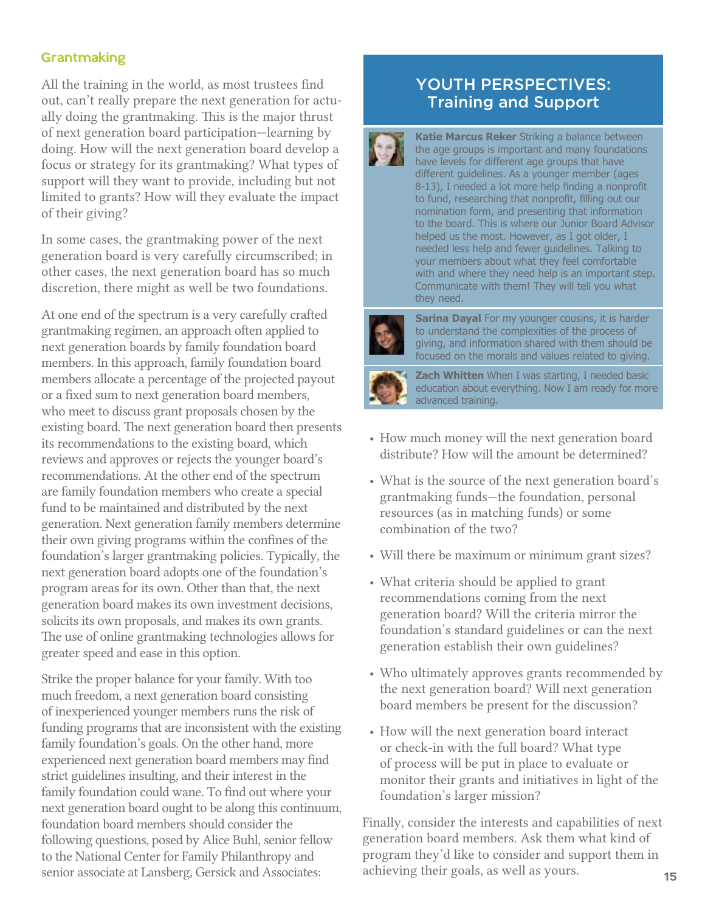### **Grantmaking**

All the training in the world, as most trustees find out, can't really prepare the next generation for actually doing the grantmaking. This is the major thrust of next generation board participation—learning by doing. How will the next generation board develop a focus or strategy for its grantmaking? What types of support will they want to provide, including but not limited to grants? How will they evaluate the impact of their giving?

In some cases, the grantmaking power of the next generation board is very carefully circumscribed; in other cases, the next generation board has so much discretion, there might as well be two foundations.

At one end of the spectrum is a very carefully crafted grantmaking regimen, an approach often applied to next generation boards by family foundation board members. In this approach, family foundation board members allocate a percentage of the projected payout or a fixed sum to next generation board members, who meet to discuss grant proposals chosen by the existing board. The next generation board then presents its recommendations to the existing board, which reviews and approves or rejects the younger board's recommendations. At the other end of the spectrum are family foundation members who create a special fund to be maintained and distributed by the next generation. Next generation family members determine their own giving programs within the confines of the foundation's larger grantmaking policies. Typically, the next generation board adopts one of the foundation's program areas for its own. Other than that, the next generation board makes its own investment decisions, solicits its own proposals, and makes its own grants. The use of online grantmaking technologies allows for greater speed and ease in this option.

Strike the proper balance for your family. With too much freedom, a next generation board consisting of inexperienced younger members runs the risk of funding programs that are inconsistent with the existing family foundation's goals. On the other hand, more experienced next generation board members may find strict guidelines insulting, and their interest in the family foundation could wane. To find out where your next generation board ought to be along this continuum, foundation board members should consider the following questions, posed by Alice Buhl, senior fellow to the National Center for Family Philanthropy and senior associate at Lansberg, Gersick and Associates:

## YOUTH PERSPECTIVES: Training and Support



**Katie Marcus Reker** Striking a balance between the age groups is important and many foundations have levels for different age groups that have different guidelines. As a younger member (ages 8-13), I needed a lot more help finding a nonprofit to fund, researching that nonprofit, filling out our nomination form, and presenting that information to the board. This is where our Junior Board Advisor helped us the most. However, as I got older, I needed less help and fewer guidelines. Talking to your members about what they feel comfortable with and where they need help is an important step. Communicate with them! They will tell you what they need.



**Sarina Dayal** For my younger cousins, it is harder to understand the complexities of the process of giving, and information shared with them should be focused on the morals and values related to giving.



**Zach Whitten** When I was starting, I needed basic education about everything. Now I am ready for more advanced training.

- How much money will the next generation board distribute? How will the amount be determined?
- What is the source of the next generation board's grantmaking funds—the foundation, personal resources (as in matching funds) or some combination of the two?
- Will there be maximum or minimum grant sizes?
- What criteria should be applied to grant recommendations coming from the next generation board? Will the criteria mirror the foundation's standard guidelines or can the next generation establish their own guidelines?
- Who ultimately approves grants recommended by the next generation board? Will next generation board members be present for the discussion?
- How will the next generation board interact or check-in with the full board? What type of process will be put in place to evaluate or monitor their grants and initiatives in light of the foundation's larger mission?

Finally, consider the interests and capabilities of next generation board members. Ask them what kind of program they'd like to consider and support them in achieving their goals, as well as yours.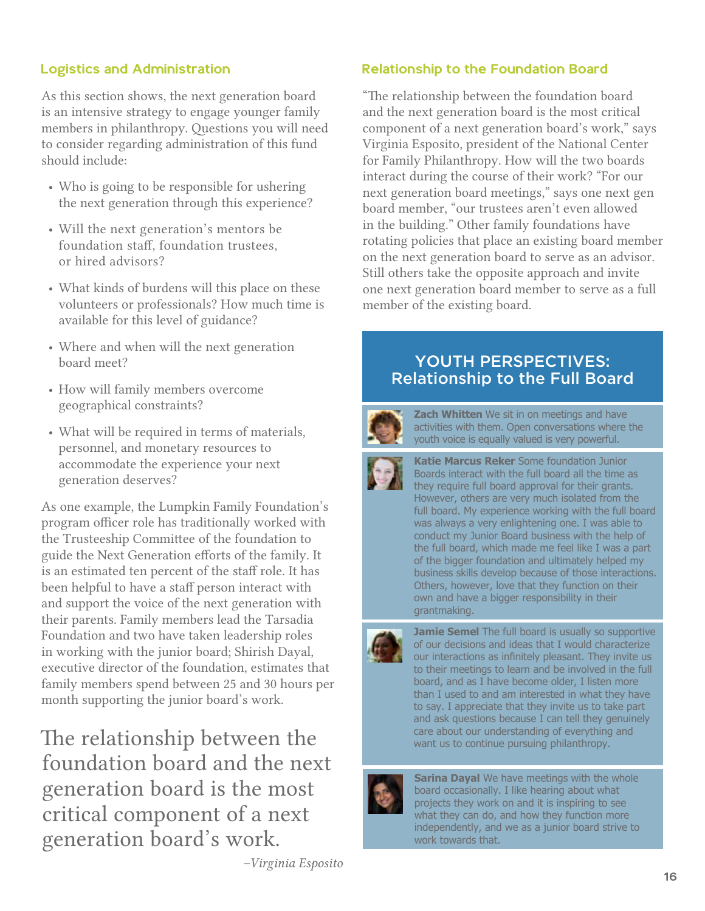## Logistics and Administration

As this section shows, the next generation board is an intensive strategy to engage younger family members in philanthropy. Questions you will need to consider regarding administration of this fund should include:

- Who is going to be responsible for ushering the next generation through this experience?
- Will the next generation's mentors be foundation staff, foundation trustees, or hired advisors?
- What kinds of burdens will this place on these volunteers or professionals? How much time is available for this level of guidance?
- Where and when will the next generation board meet?
- How will family members overcome geographical constraints?
- What will be required in terms of materials, personnel, and monetary resources to accommodate the experience your next generation deserves?

As one example, the Lumpkin Family Foundation's program officer role has traditionally worked with the Trusteeship Committee of the foundation to guide the Next Generation efforts of the family. It is an estimated ten percent of the staff role. It has been helpful to have a staff person interact with and support the voice of the next generation with their parents. Family members lead the Tarsadia Foundation and two have taken leadership roles in working with the junior board; Shirish Dayal, executive director of the foundation, estimates that family members spend between 25 and 30 hours per month supporting the junior board's work.

The relationship between the want us to continue pursuing philanthropy. foundation board and the next generation board is the most critical component of a next generation board's work.

*–Virginia Esposito*

## Relationship to the Foundation Board

"The relationship between the foundation board and the next generation board is the most critical component of a next generation board's work," says Virginia Esposito, president of the National Center for Family Philanthropy. How will the two boards interact during the course of their work? "For our next generation board meetings," says one next gen board member, "our trustees aren't even allowed in the building." Other family foundations have rotating policies that place an existing board member on the next generation board to serve as an advisor. Still others take the opposite approach and invite one next generation board member to serve as a full member of the existing board.

## YOUTH PERSPECTIVES: Relationship to the Full Board



**Zach Whitten** We sit in on meetings and have activities with them. Open conversations where the youth voice is equally valued is very powerful.

**Katie Marcus Reker** Some foundation Junior Boards interact with the full board all the time as they require full board approval for their grants. However, others are very much isolated from the full board. My experience working with the full board was always a very enlightening one. I was able to conduct my Junior Board business with the help of the full board, which made me feel like I was a part of the bigger foundation and ultimately helped my business skills develop because of those interactions. Others, however, love that they function on their own and have a bigger responsibility in their grantmaking.



**Jamie Semel** The full board is usually so supportive of our decisions and ideas that I would characterize our interactions as infinitely pleasant. They invite us to their meetings to learn and be involved in the full board, and as I have become older, I listen more than I used to and am interested in what they have to say. I appreciate that they invite us to take part and ask questions because I can tell they genuinely

**Sarina Dayal** We have meetings with the whole board occasionally. I like hearing about what projects they work on and it is inspiring to see what they can do, and how they function more independently, and we as a junior board strive to work towards that.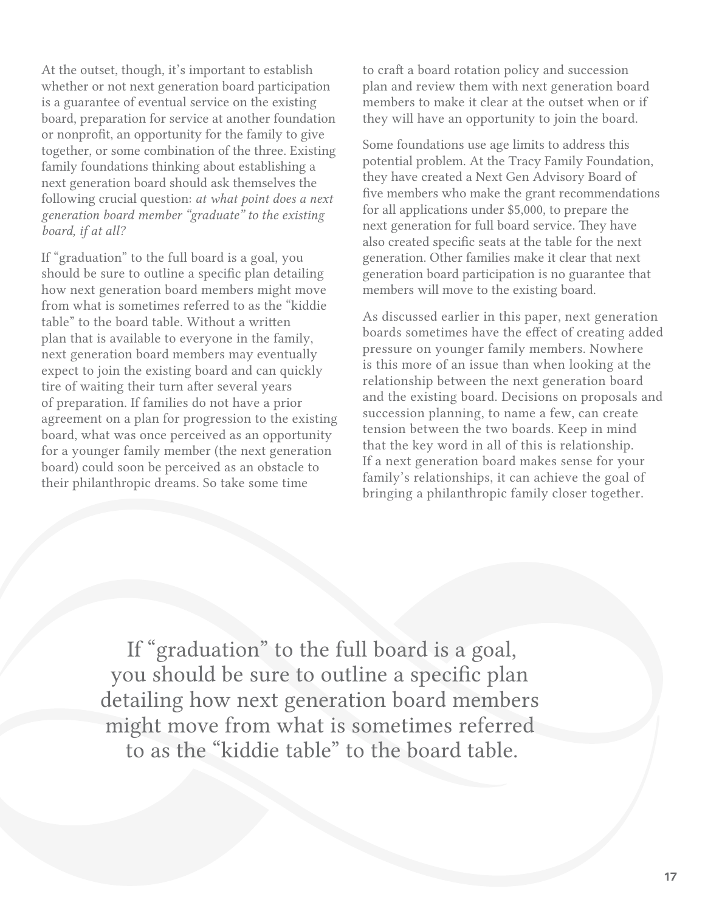At the outset, though, it's important to establish whether or not next generation board participation is a guarantee of eventual service on the existing board, preparation for service at another foundation or nonprofit, an opportunity for the family to give together, or some combination of the three. Existing family foundations thinking about establishing a next generation board should ask themselves the following crucial question: *at what point does a next generation board member "graduate" to the existing board, if at all?*

If "graduation" to the full board is a goal, you should be sure to outline a specific plan detailing how next generation board members might move from what is sometimes referred to as the "kiddie table" to the board table. Without a written plan that is available to everyone in the family, next generation board members may eventually expect to join the existing board and can quickly tire of waiting their turn after several years of preparation. If families do not have a prior agreement on a plan for progression to the existing board, what was once perceived as an opportunity for a younger family member (the next generation board) could soon be perceived as an obstacle to their philanthropic dreams. So take some time

to craft a board rotation policy and succession plan and review them with next generation board members to make it clear at the outset when or if they will have an opportunity to join the board.

Some foundations use age limits to address this potential problem. At the Tracy Family Foundation, they have created a Next Gen Advisory Board of five members who make the grant recommendations for all applications under \$5,000, to prepare the next generation for full board service. They have also created specific seats at the table for the next generation. Other families make it clear that next generation board participation is no guarantee that members will move to the existing board.

As discussed earlier in this paper, next generation boards sometimes have the effect of creating added pressure on younger family members. Nowhere is this more of an issue than when looking at the relationship between the next generation board and the existing board. Decisions on proposals and succession planning, to name a few, can create tension between the two boards. Keep in mind that the key word in all of this is relationship. If a next generation board makes sense for your family's relationships, it can achieve the goal of bringing a philanthropic family closer together.

If "graduation" to the full board is a goal, you should be sure to outline a specific plan detailing how next generation board members might move from what is sometimes referred to as the "kiddie table" to the board table.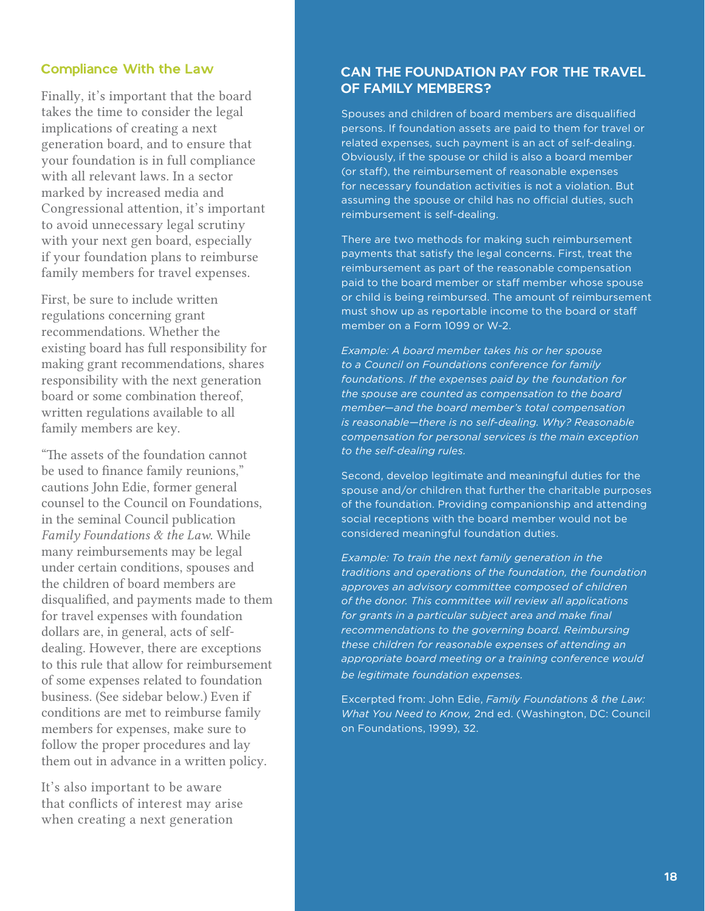### Compliance With the Law

Finally, it's important that the board takes the time to consider the legal implications of creating a next generation board, and to ensure that your foundation is in full compliance with all relevant laws. In a sector marked by increased media and Congressional attention, it's important to avoid unnecessary legal scrutiny with your next gen board, especially if your foundation plans to reimburse family members for travel expenses.

First, be sure to include written regulations concerning grant recommendations. Whether the existing board has full responsibility for making grant recommendations, shares responsibility with the next generation board or some combination thereof, written regulations available to all family members are key.

"The assets of the foundation cannot be used to finance family reunions," cautions John Edie, former general counsel to the Council on Foundations, in the seminal Council publication *Family Foundations & the Law*. While many reimbursements may be legal under certain conditions, spouses and the children of board members are disqualified, and payments made to them for travel expenses with foundation dollars are, in general, acts of selfdealing. However, there are exceptions to this rule that allow for reimbursement of some expenses related to foundation business. (See sidebar below.) Even if conditions are met to reimburse family members for expenses, make sure to follow the proper procedures and lay them out in advance in a written policy.

It's also important to be aware that conflicts of interest may arise when creating a next generation

#### CAN THE FOUNDATION PAY FOR THE TRAVEL OF FAMILY MEMBERS?

Spouses and children of board members are disqualified persons. If foundation assets are paid to them for travel or related expenses, such payment is an act of self-dealing. Obviously, if the spouse or child is also a board member (or staff), the reimbursement of reasonable expenses for necessary foundation activities is not a violation. But assuming the spouse or child has no official duties, such reimbursement is self-dealing.

There are two methods for making such reimbursement payments that satisfy the legal concerns. First, treat the reimbursement as part of the reasonable compensation paid to the board member or staff member whose spouse or child is being reimbursed. The amount of reimbursement must show up as reportable income to the board or staff member on a Form 1099 or W-2.

*Example: A board member takes his or her spouse to a Council on Foundations conference for family foundations. If the expenses paid by the foundation for the spouse are counted as compensation to the board member—and the board member's total compensation is reasonable—there is no self-dealing. Why? Reasonable compensation for personal services is the main exception to the self-dealing rules.*

Second, develop legitimate and meaningful duties for the spouse and/or children that further the charitable purposes of the foundation. Providing companionship and attending social receptions with the board member would not be considered meaningful foundation duties.

*Example: To train the next family generation in the traditions and operations of the foundation, the foundation approves an advisory committee composed of children of the donor. This committee will review all applications for grants in a particular subject area and make final recommendations to the governing board. Reimbursing these children for reasonable expenses of attending an appropriate board meeting or a training conference would be legitimate foundation expenses.*

Excerpted from: John Edie, *Family Foundations & the Law: What You Need to Know,* 2nd ed. (Washington, DC: Council on Foundations, 1999), 32.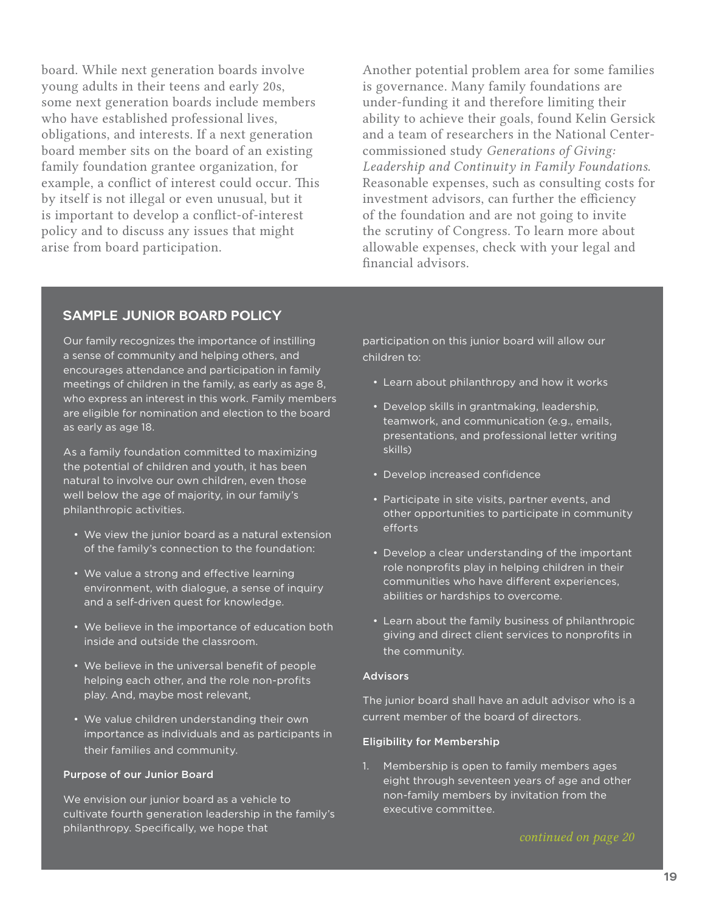board. While next generation boards involve young adults in their teens and early 20s, some next generation boards include members who have established professional lives, obligations, and interests. If a next generation board member sits on the board of an existing family foundation grantee organization, for example, a conflict of interest could occur. This by itself is not illegal or even unusual, but it is important to develop a conflict-of-interest policy and to discuss any issues that might arise from board participation.

Another potential problem area for some families is governance. Many family foundations are under-funding it and therefore limiting their ability to achieve their goals, found Kelin Gersick and a team of researchers in the National Centercommissioned study *Generations of Giving: Leadership and Continuity in Family Foundations*. Reasonable expenses, such as consulting costs for investment advisors, can further the efficiency of the foundation and are not going to invite the scrutiny of Congress. To learn more about allowable expenses, check with your legal and financial advisors.

#### SAMPLE JUNIOR BOARD POLICY

Our family recognizes the importance of instilling a sense of community and helping others, and encourages attendance and participation in family meetings of children in the family, as early as age 8, who express an interest in this work. Family members are eligible for nomination and election to the board as early as age 18.

As a family foundation committed to maximizing the potential of children and youth, it has been natural to involve our own children, even those well below the age of majority, in our family's philanthropic activities.

- We view the junior board as a natural extension of the family's connection to the foundation:
- We value a strong and effective learning environment, with dialogue, a sense of inquiry and a self-driven quest for knowledge.
- We believe in the importance of education both inside and outside the classroom.
- We believe in the universal benefit of people helping each other, and the role non-profits play. And, maybe most relevant,
- We value children understanding their own importance as individuals and as participants in their families and community.

#### Purpose of our Junior Board

We envision our junior board as a vehicle to cultivate fourth generation leadership in the family's philanthropy. Specifically, we hope that

participation on this junior board will allow our children to:

- Learn about philanthropy and how it works
- Develop skills in grantmaking, leadership, teamwork, and communication (e.g., emails, presentations, and professional letter writing skills)
- Develop increased confidence
- Participate in site visits, partner events, and other opportunities to participate in community efforts
- Develop a clear understanding of the important role nonprofits play in helping children in their communities who have different experiences, abilities or hardships to overcome.
- Learn about the family business of philanthropic giving and direct client services to nonprofits in the community.

#### **Advisors**

The junior board shall have an adult advisor who is a current member of the board of directors.

#### Eligibility for Membership

1. Membership is open to family members ages eight through seventeen years of age and other non-family members by invitation from the executive committee.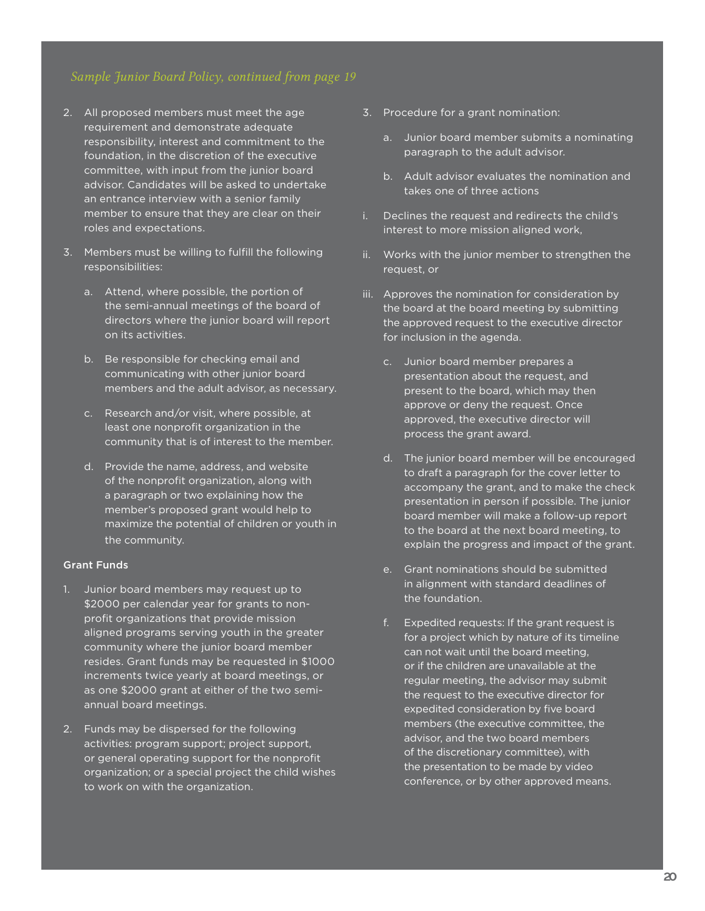- 2. All proposed members must meet the age requirement and demonstrate adequate responsibility, interest and commitment to the foundation, in the discretion of the executive committee, with input from the junior board advisor. Candidates will be asked to undertake an entrance interview with a senior family member to ensure that they are clear on their roles and expectations.
- 3. Members must be willing to fulfill the following responsibilities:
	- a. Attend, where possible, the portion of the semi-annual meetings of the board of directors where the junior board will report on its activities.
	- b. Be responsible for checking email and communicating with other junior board members and the adult advisor, as necessary.
	- c. Research and/or visit, where possible, at least one nonprofit organization in the community that is of interest to the member.
	- d. Provide the name, address, and website of the nonprofit organization, along with a paragraph or two explaining how the member's proposed grant would help to maximize the potential of children or youth in the community.

#### Grant Funds

- 1. Junior board members may request up to \$2000 per calendar year for grants to nonprofit organizations that provide mission aligned programs serving youth in the greater community where the junior board member resides. Grant funds may be requested in \$1000 increments twice yearly at board meetings, or as one \$2000 grant at either of the two semiannual board meetings.
- 2. Funds may be dispersed for the following activities: program support; project support, or general operating support for the nonprofit organization; or a special project the child wishes to work on with the organization.
- 3. Procedure for a grant nomination:
	- a. Junior board member submits a nominating paragraph to the adult advisor.
	- b. Adult advisor evaluates the nomination and takes one of three actions
- i. Declines the request and redirects the child's interest to more mission aligned work,
- ii. Works with the junior member to strengthen the request, or
- iii. Approves the nomination for consideration by the board at the board meeting by submitting the approved request to the executive director for inclusion in the agenda.
	- c. Junior board member prepares a presentation about the request, and present to the board, which may then approve or deny the request. Once approved, the executive director will process the grant award.
	- d. The junior board member will be encouraged to draft a paragraph for the cover letter to accompany the grant, and to make the check presentation in person if possible. The junior board member will make a follow-up report to the board at the next board meeting, to explain the progress and impact of the grant.
	- e. Grant nominations should be submitted in alignment with standard deadlines of the foundation.
	- f. Expedited requests: If the grant request is for a project which by nature of its timeline can not wait until the board meeting, or if the children are unavailable at the regular meeting, the advisor may submit the request to the executive director for expedited consideration by five board members (the executive committee, the advisor, and the two board members of the discretionary committee), with the presentation to be made by video conference, or by other approved means.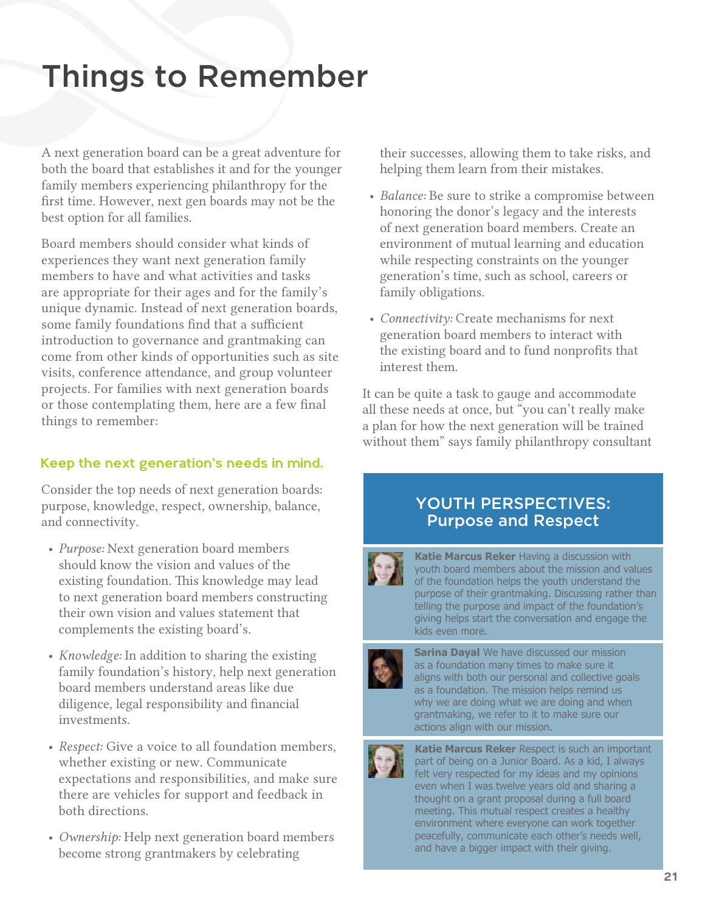# Things to Remember

A next generation board can be a great adventure for both the board that establishes it and for the younger family members experiencing philanthropy for the first time. However, next gen boards may not be the best option for all families.

Board members should consider what kinds of experiences they want next generation family members to have and what activities and tasks are appropriate for their ages and for the family's unique dynamic. Instead of next generation boards, some family foundations find that a sufficient introduction to governance and grantmaking can come from other kinds of opportunities such as site visits, conference attendance, and group volunteer projects. For families with next generation boards or those contemplating them, here are a few final things to remember:

### Keep the next generation's needs in mind.

Consider the top needs of next generation boards: purpose, knowledge, respect, ownership, balance, and connectivity.

- *Purpose:* Next generation board members should know the vision and values of the existing foundation. This knowledge may lead to next generation board members constructing their own vision and values statement that complements the existing board's.
- *Knowledge:* In addition to sharing the existing family foundation's history, help next generation board members understand areas like due diligence, legal responsibility and financial investments.
- *Respect:* Give a voice to all foundation members, whether existing or new. Communicate expectations and responsibilities, and make sure there are vehicles for support and feedback in both directions.
- *Ownership:* Help next generation board members become strong grantmakers by celebrating

their successes, allowing them to take risks, and helping them learn from their mistakes.

- *Balance:* Be sure to strike a compromise between honoring the donor's legacy and the interests of next generation board members. Create an environment of mutual learning and education while respecting constraints on the younger generation's time, such as school, careers or family obligations.
- *Connectivity:* Create mechanisms for next generation board members to interact with the existing board and to fund nonprofits that interest them.

It can be quite a task to gauge and accommodate all these needs at once, but "you can't really make a plan for how the next generation will be trained without them" says family philanthropy consultant

## YOUTH PERSPECTIVES: Purpose and Respect



**Katie Marcus Reker** Having a discussion with youth board members about the mission and values of the foundation helps the youth understand the purpose of their grantmaking. Discussing rather than telling the purpose and impact of the foundation's giving helps start the conversation and engage the kids even more.



**Sarina Dayal** We have discussed our mission as a foundation many times to make sure it aligns with both our personal and collective goals as a foundation. The mission helps remind us why we are doing what we are doing and when grantmaking, we refer to it to make sure our actions align with our mission.



**Katie Marcus Reker** Respect is such an important part of being on a Junior Board. As a kid, I always felt very respected for my ideas and my opinions even when I was twelve years old and sharing a thought on a grant proposal during a full board meeting. This mutual respect creates a healthy environment where everyone can work together peacefully, communicate each other's needs well, and have a bigger impact with their giving.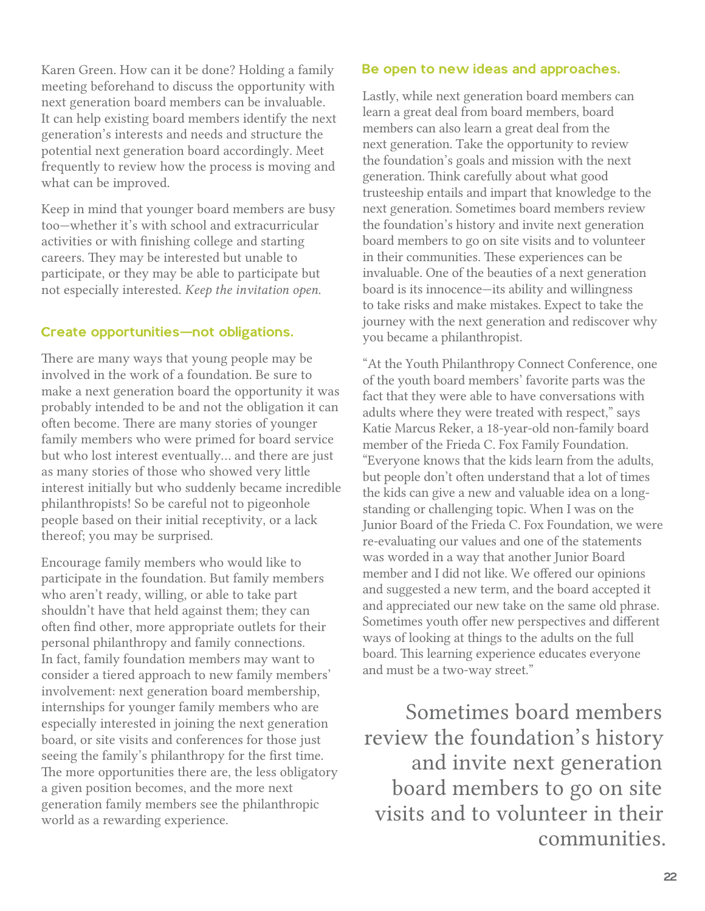Karen Green. How can it be done? Holding a family meeting beforehand to discuss the opportunity with next generation board members can be invaluable. It can help existing board members identify the next generation's interests and needs and structure the potential next generation board accordingly. Meet frequently to review how the process is moving and what can be improved.

Keep in mind that younger board members are busy too—whether it's with school and extracurricular activities or with finishing college and starting careers. They may be interested but unable to participate, or they may be able to participate but not especially interested. *Keep the invitation open.*

### Create opportunities—not obligations.

There are many ways that young people may be involved in the work of a foundation. Be sure to make a next generation board the opportunity it was probably intended to be and not the obligation it can often become. There are many stories of younger family members who were primed for board service but who lost interest eventually… and there are just as many stories of those who showed very little interest initially but who suddenly became incredible philanthropists! So be careful not to pigeonhole people based on their initial receptivity, or a lack thereof; you may be surprised.

Encourage family members who would like to participate in the foundation. But family members who aren't ready, willing, or able to take part shouldn't have that held against them; they can often find other, more appropriate outlets for their personal philanthropy and family connections. In fact, family foundation members may want to consider a tiered approach to new family members' involvement: next generation board membership, internships for younger family members who are especially interested in joining the next generation board, or site visits and conferences for those just seeing the family's philanthropy for the first time. The more opportunities there are, the less obligatory a given position becomes, and the more next generation family members see the philanthropic world as a rewarding experience.

#### Be open to new ideas and approaches.

Lastly, while next generation board members can learn a great deal from board members, board members can also learn a great deal from the next generation. Take the opportunity to review the foundation's goals and mission with the next generation. Think carefully about what good trusteeship entails and impart that knowledge to the next generation. Sometimes board members review the foundation's history and invite next generation board members to go on site visits and to volunteer in their communities. These experiences can be invaluable. One of the beauties of a next generation board is its innocence—its ability and willingness to take risks and make mistakes. Expect to take the journey with the next generation and rediscover why you became a philanthropist.

"At the Youth Philanthropy Connect Conference, one of the youth board members' favorite parts was the fact that they were able to have conversations with adults where they were treated with respect," says Katie Marcus Reker, a 18-year-old non-family board member of the Frieda C. Fox Family Foundation. "Everyone knows that the kids learn from the adults, but people don't often understand that a lot of times the kids can give a new and valuable idea on a longstanding or challenging topic. When I was on the Junior Board of the Frieda C. Fox Foundation, we were re-evaluating our values and one of the statements was worded in a way that another Junior Board member and I did not like. We offered our opinions and suggested a new term, and the board accepted it and appreciated our new take on the same old phrase. Sometimes youth offer new perspectives and different ways of looking at things to the adults on the full board. This learning experience educates everyone and must be a two-way street."

Sometimes board members review the foundation's history and invite next generation board members to go on site visits and to volunteer in their communities.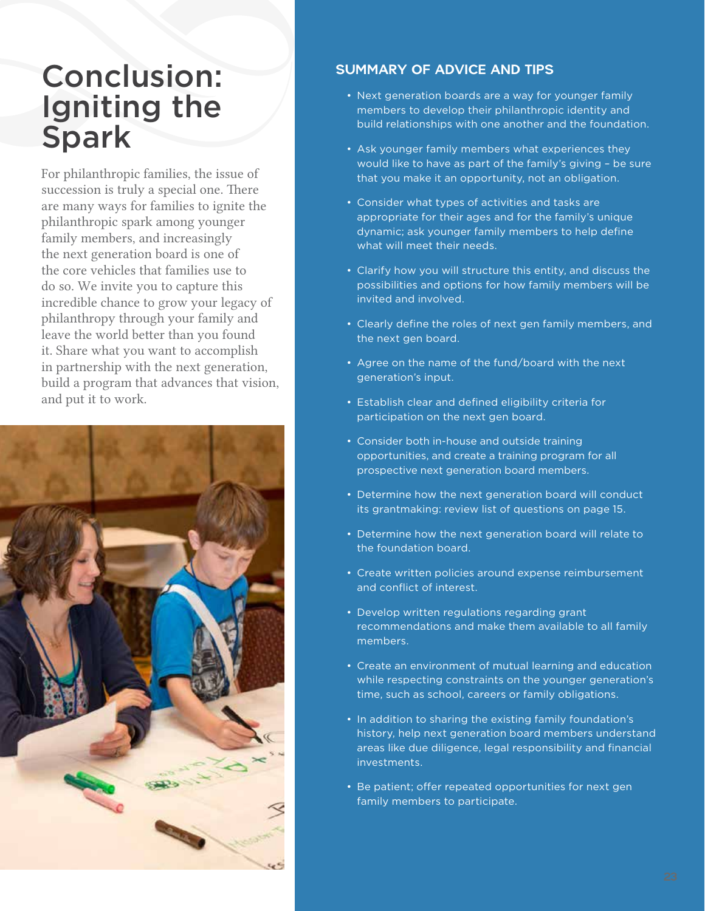## Conclusion: Igniting the Spark

For philanthropic families, the issue of succession is truly a special one. There are many ways for families to ignite the philanthropic spark among younger family members, and increasingly the next generation board is one of the core vehicles that families use to do so. We invite you to capture this incredible chance to grow your legacy of philanthropy through your family and leave the world better than you found it. Share what you want to accomplish in partnership with the next generation, build a program that advances that vision, and put it to work.



### SUMMARY OF ADVICE AND TIPS

- Next generation boards are a way for younger family members to develop their philanthropic identity and build relationships with one another and the foundation.
- Ask younger family members what experiences they would like to have as part of the family's giving – be sure that you make it an opportunity, not an obligation.
- Consider what types of activities and tasks are appropriate for their ages and for the family's unique dynamic; ask younger family members to help define what will meet their needs.
- Clarify how you will structure this entity, and discuss the possibilities and options for how family members will be invited and involved.
- Clearly define the roles of next gen family members, and the next gen board.
- Agree on the name of the fund/board with the next generation's input.
- Establish clear and defined eligibility criteria for participation on the next gen board.
- Consider both in-house and outside training opportunities, and create a training program for all prospective next generation board members.
- Determine how the next generation board will conduct its grantmaking: review list of questions on page 15.
- Determine how the next generation board will relate to the foundation board.
- Create written policies around expense reimbursement and conflict of interest.
- Develop written regulations regarding grant recommendations and make them available to all family members.
- Create an environment of mutual learning and education while respecting constraints on the younger generation's time, such as school, careers or family obligations.
- In addition to sharing the existing family foundation's history, help next generation board members understand areas like due diligence, legal responsibility and financial investments.
- Be patient; offer repeated opportunities for next gen family members to participate.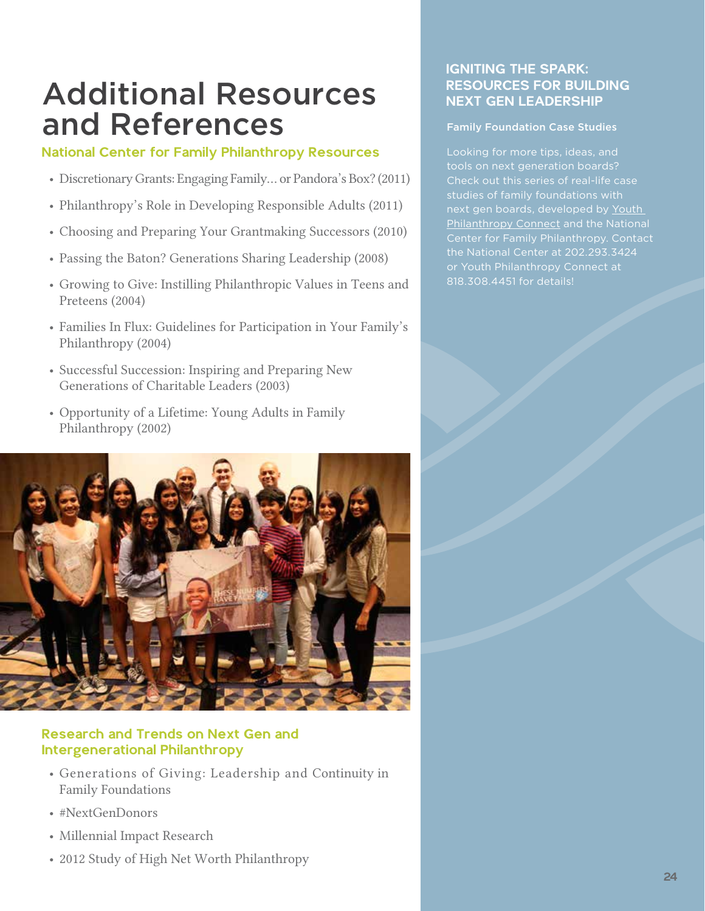## Additional Resources and References

### National Center for Family Philanthropy Resources

- Discretionary Grants: Engaging Family... or Pandora's Box? (2011)
- Philanthropy's Role in Developing Responsible Adults (2011)
- Choosing and Preparing Your Grantmaking Successors (2010)
- Passing the Baton? Generations Sharing Leadership (2008)
- Growing to Give: Instilling Philanthropic Values in Teens and Preteens (2004)
- Families In Flux: Guidelines for Participation in Your Family's Philanthropy (2004)
- Successful Succession: Inspiring and Preparing New Generations of Charitable Leaders (2003)
- Opportunity of a Lifetime: Young Adults in Family Philanthropy (2002)



## Research and Trends on Next Gen and Intergenerational Philanthropy

- Generations of Giving: Leadership and Continuity in Family Foundations
- #NextGenDonors
- Millennial Impact Research
- 2012 Study of High Net Worth Philanthropy

### IGNITING THE SPARK: RESOURCES FOR BUILDING NEXT GEN LEADERSHIP

#### Family Foundation Case Studies

tools on next generation boards? Check out this series of real-life case next gen boards, developed by [Youth](http://youthphilanthropyconnect.org)  [Philanthropy Connect](http://youthphilanthropyconnect.org) and the National Center for Family Philanthropy. Contact the National Center at 202.293.3424 or Youth Philanthropy Connect at 818.308.4451 for details!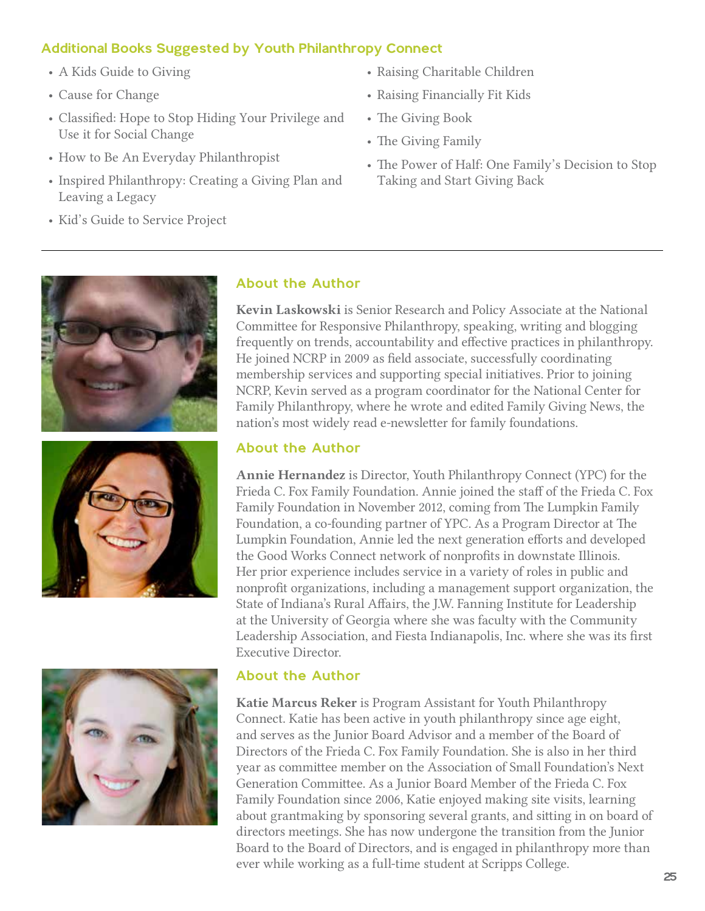## Additional Books Suggested by Youth Philanthropy Connect

- A Kids Guide to Giving
- Cause for Change
- Classified: Hope to Stop Hiding Your Privilege and Use it for Social Change
- How to Be An Everyday Philanthropist
- Inspired Philanthropy: Creating a Giving Plan and Leaving a Legacy
- Kid's Guide to Service Project
- Raising Charitable Children
- Raising Financially Fit Kids
- The Giving Book
- The Giving Family
- The Power of Half: One Family's Decision to Stop Taking and Start Giving Back







## About the Author

Kevin Laskowski is Senior Research and Policy Associate at the National Committee for Responsive Philanthropy, speaking, writing and blogging frequently on trends, accountability and effective practices in philanthropy. He joined NCRP in 2009 as field associate, successfully coordinating membership services and supporting special initiatives. Prior to joining NCRP, Kevin served as a program coordinator for the National Center for Family Philanthropy, where he wrote and edited Family Giving News, the nation's most widely read e-newsletter for family foundations.

## About the Author

Annie Hernandez is Director, Youth Philanthropy Connect (YPC) for the Frieda C. Fox Family Foundation. Annie joined the staff of the Frieda C. Fox Family Foundation in November 2012, coming from The Lumpkin Family Foundation, a co-founding partner of YPC. As a Program Director at The Lumpkin Foundation, Annie led the next generation efforts and developed the Good Works Connect network of nonprofits in downstate Illinois. Her prior experience includes service in a variety of roles in public and nonprofit organizations, including a management support organization, the State of Indiana's Rural Affairs, the J.W. Fanning Institute for Leadership at the University of Georgia where she was faculty with the Community Leadership Association, and Fiesta Indianapolis, Inc. where she was its first Executive Director.

## About the Author

Katie Marcus Reker is Program Assistant for Youth Philanthropy Connect. Katie has been active in youth philanthropy since age eight, and serves as the Junior Board Advisor and a member of the Board of Directors of the Frieda C. Fox Family Foundation. She is also in her third year as committee member on the Association of Small Foundation's Next Generation Committee. As a Junior Board Member of the Frieda C. Fox Family Foundation since 2006, Katie enjoyed making site visits, learning about grantmaking by sponsoring several grants, and sitting in on board of directors meetings. She has now undergone the transition from the Junior Board to the Board of Directors, and is engaged in philanthropy more than ever while working as a full-time student at Scripps College.